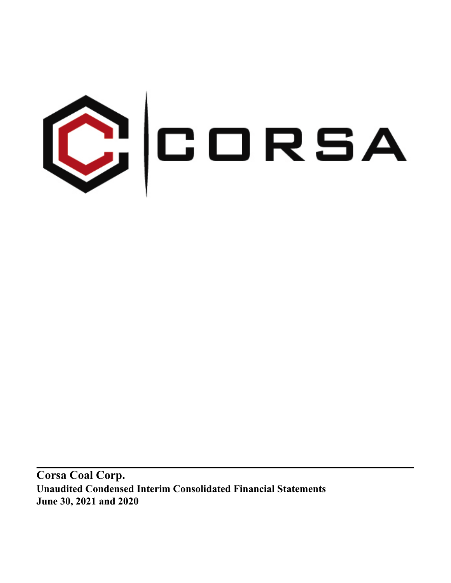

**Corsa Coal Corp. Unaudited Condensed Interim Consolidated Financial Statements June 30, 2021 and 2020**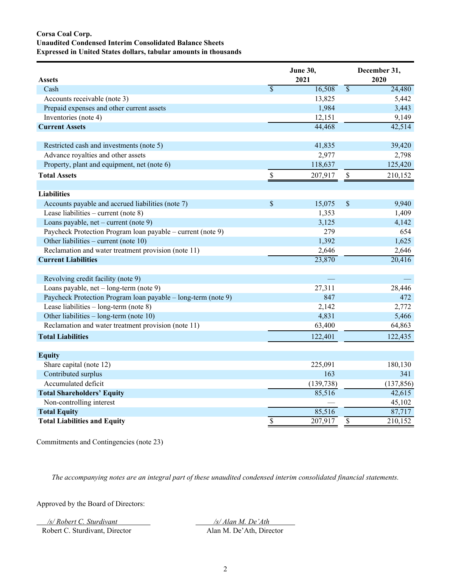# **Corsa Coal Corp. Unaudited Condensed Interim Consolidated Balance Sheets Expressed in United States dollars, tabular amounts in thousands**

| <b>Assets</b>                                                 |                          | June 30,<br>2021 |                          | December 31,<br>2020 |
|---------------------------------------------------------------|--------------------------|------------------|--------------------------|----------------------|
| Cash                                                          | $\overline{\mathcal{S}}$ | 16,508           | $\overline{\mathcal{S}}$ | 24,480               |
| Accounts receivable (note 3)                                  |                          | 13,825           |                          | 5,442                |
| Prepaid expenses and other current assets                     |                          | 1,984            |                          | 3,443                |
| Inventories (note 4)                                          |                          | 12,151           |                          | 9,149                |
| <b>Current Assets</b>                                         |                          | 44,468           |                          | 42,514               |
| Restricted cash and investments (note 5)                      |                          | 41,835           |                          | 39,420               |
| Advance royalties and other assets                            |                          | 2,977            |                          | 2,798                |
| Property, plant and equipment, net (note 6)                   |                          | 118,637          |                          | 125,420              |
| <b>Total Assets</b>                                           | $\mathbb S$              | 207,917          | $\mathbb{S}$             | 210,152              |
| <b>Liabilities</b>                                            |                          |                  |                          |                      |
| Accounts payable and accrued liabilities (note 7)             | \$                       | 15,075           | \$                       | 9,940                |
| Lease liabilities – current (note $8$ )                       |                          | 1,353            |                          | 1,409                |
| Loans payable, $net$ – current (note 9)                       |                          | 3,125            |                          | 4,142                |
| Paycheck Protection Program Ioan payable – current (note 9)   |                          | 279              |                          | 654                  |
| Other liabilities - current (note 10)                         |                          | 1,392            |                          | 1,625                |
| Reclamation and water treatment provision (note 11)           |                          | 2,646            |                          | 2,646                |
| <b>Current Liabilities</b>                                    |                          | 23,870           |                          | 20,416               |
| Revolving credit facility (note 9)                            |                          |                  |                          |                      |
| Loans payable, net - long-term (note 9)                       |                          | 27,311           |                          | 28,446               |
| Paycheck Protection Program loan payable – long-term (note 9) |                          | 847              |                          | 472                  |
| Lease liabilities $-$ long-term (note 8)                      |                          | 2,142            |                          | 2,772                |
| Other liabilities $-$ long-term (note 10)                     |                          | 4,831            |                          | 5,466                |
| Reclamation and water treatment provision (note 11)           |                          | 63,400           |                          | 64,863               |
| <b>Total Liabilities</b>                                      |                          | 122,401          |                          | 122,435              |
| <b>Equity</b>                                                 |                          |                  |                          |                      |
| Share capital (note 12)                                       |                          | 225,091          |                          | 180,130              |
| Contributed surplus                                           |                          | 163              |                          | 341                  |
| Accumulated deficit                                           |                          | (139, 738)       |                          | (137, 856)           |
| <b>Total Shareholders' Equity</b>                             |                          | 85,516           |                          | 42,615               |
| Non-controlling interest                                      |                          |                  |                          | 45,102               |
| <b>Total Equity</b>                                           |                          | 85,516           |                          | 87,717               |
| <b>Total Liabilities and Equity</b>                           | $\overline{\mathcal{S}}$ | 207,917          | \$                       | 210,152              |

Commitments and Contingencies (note 23)

*The accompanying notes are an integral part of these unaudited condensed interim consolidated financial statements.*

Approved by the Board of Directors:

*/s/ Robert C. Sturdivant /s/ Alan M. De'Ath* 

Robert C. Sturdivant, Director Alan M. De'Ath, Director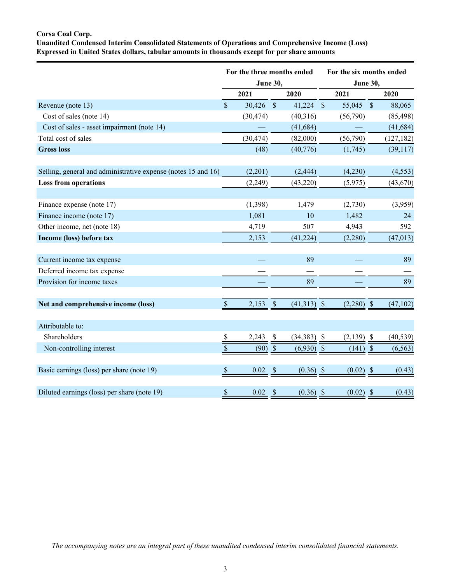# **Corsa Coal Corp.**

**Unaudited Condensed Interim Consolidated Statements of Operations and Comprehensive Income (Loss) Expressed in United States dollars, tabular amounts in thousands except for per share amounts**

|                       |                           | For the three months ended                                                                                                     | For the six months ended                      |                                                                                             |                    |                                                                                                            |  |  |  |
|-----------------------|---------------------------|--------------------------------------------------------------------------------------------------------------------------------|-----------------------------------------------|---------------------------------------------------------------------------------------------|--------------------|------------------------------------------------------------------------------------------------------------|--|--|--|
| 2021                  |                           | 2020                                                                                                                           |                                               | 2021                                                                                        |                    | 2020                                                                                                       |  |  |  |
| $\mathbf{\hat{S}}$    |                           |                                                                                                                                |                                               |                                                                                             |                    | 88,065                                                                                                     |  |  |  |
|                       |                           | (40, 316)                                                                                                                      |                                               | (56,790)                                                                                    |                    | (85, 498)                                                                                                  |  |  |  |
|                       |                           | (41, 684)                                                                                                                      |                                               |                                                                                             |                    | (41, 684)                                                                                                  |  |  |  |
|                       |                           | (82,000)                                                                                                                       |                                               | (56,790)                                                                                    |                    | (127, 182)                                                                                                 |  |  |  |
|                       |                           | (40,776)                                                                                                                       |                                               | (1,745)                                                                                     |                    | (39,117)                                                                                                   |  |  |  |
|                       |                           |                                                                                                                                |                                               |                                                                                             |                    |                                                                                                            |  |  |  |
|                       |                           |                                                                                                                                |                                               |                                                                                             |                    | (4, 553)                                                                                                   |  |  |  |
|                       |                           |                                                                                                                                |                                               |                                                                                             |                    | (43, 670)                                                                                                  |  |  |  |
|                       |                           | 1,479                                                                                                                          |                                               | (2,730)                                                                                     |                    | (3,959)                                                                                                    |  |  |  |
| 1,081                 |                           | 10                                                                                                                             |                                               | 1,482                                                                                       |                    | 24                                                                                                         |  |  |  |
| 4,719                 |                           | 507                                                                                                                            |                                               | 4,943                                                                                       |                    | 592                                                                                                        |  |  |  |
| 2,153                 |                           | (41, 224)                                                                                                                      |                                               | (2,280)                                                                                     |                    | (47, 013)                                                                                                  |  |  |  |
|                       |                           |                                                                                                                                |                                               |                                                                                             |                    |                                                                                                            |  |  |  |
|                       |                           |                                                                                                                                |                                               |                                                                                             |                    | 89                                                                                                         |  |  |  |
|                       |                           |                                                                                                                                |                                               |                                                                                             |                    |                                                                                                            |  |  |  |
|                       |                           |                                                                                                                                |                                               |                                                                                             |                    | 89                                                                                                         |  |  |  |
| 2,153<br>$\mathbb{S}$ | $\boldsymbol{\mathsf{S}}$ |                                                                                                                                |                                               |                                                                                             |                    | (47, 102)                                                                                                  |  |  |  |
|                       |                           |                                                                                                                                |                                               |                                                                                             |                    |                                                                                                            |  |  |  |
| $\mathbb{S}$          |                           |                                                                                                                                |                                               |                                                                                             |                    | (40, 539)                                                                                                  |  |  |  |
| \$                    |                           |                                                                                                                                |                                               |                                                                                             |                    | (6, 563)                                                                                                   |  |  |  |
|                       |                           |                                                                                                                                |                                               |                                                                                             |                    |                                                                                                            |  |  |  |
| 0.02<br>$\mathbb{S}$  | <sup>\$</sup>             |                                                                                                                                |                                               |                                                                                             |                    | (0.43)                                                                                                     |  |  |  |
| \$<br>0.02            |                           |                                                                                                                                |                                               |                                                                                             |                    | (0.43)                                                                                                     |  |  |  |
|                       | 2,243                     | $30,426$ \$<br>(30, 474)<br>(30, 474)<br>(48)<br>(2,201)<br>(2,249)<br>(1,398)<br>\$<br>$(90)$ \$<br>$\boldsymbol{\mathsf{S}}$ | June 30,<br>(2, 444)<br>(43, 220)<br>89<br>89 | $41,224$ \$<br>$(41,313)$ \$<br>$(34,383)$ \$<br>$(6,930)$ \$<br>$(0.36)$ \$<br>$(0.36)$ \$ | (4,230)<br>(5,975) | <b>June 30,</b><br>$55,045$ \$<br>$(2,280)$ \$<br>$(2,139)$ \$<br>$(141)$ \$<br>$(0.02)$ \$<br>$(0.02)$ \$ |  |  |  |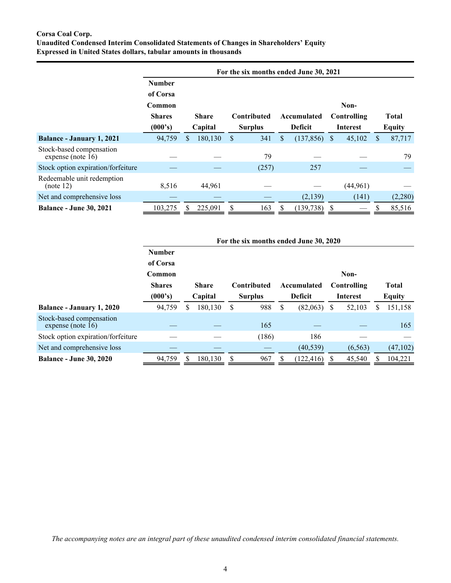# **Corsa Coal Corp. Unaudited Condensed Interim Consolidated Statements of Changes in Shareholders' Equity Expressed in United States dollars, tabular amounts in thousands**

|                                                  | For the six months ended June 30, 2021 |    |              |    |                    |    |                |                 |             |     |              |  |               |
|--------------------------------------------------|----------------------------------------|----|--------------|----|--------------------|----|----------------|-----------------|-------------|-----|--------------|--|---------------|
|                                                  | <b>Number</b>                          |    |              |    |                    |    |                |                 |             |     |              |  |               |
|                                                  | of Corsa                               |    |              |    |                    |    |                |                 |             |     |              |  |               |
|                                                  | Common                                 |    |              |    |                    |    |                |                 | Non-        |     |              |  |               |
|                                                  | <b>Shares</b>                          |    | <b>Share</b> |    | <b>Contributed</b> |    | Accumulated    |                 | Controlling |     | <b>Total</b> |  |               |
|                                                  | (000's)                                |    | Capital      |    | <b>Surplus</b>     |    | <b>Deficit</b> | <b>Interest</b> |             |     |              |  | <b>Equity</b> |
| Balance - January 1, 2021                        | 94,759                                 | S. | 180,130      | \$ | 341                | \$ | (137, 856)     | \$              | 45,102      | S   | 87,717       |  |               |
| Stock-based compensation<br>expense (note $16$ ) |                                        |    |              |    | 79                 |    |                |                 |             |     | 79           |  |               |
| Stock option expiration/forfeiture               |                                        |    |              |    | (257)              |    | 257            |                 |             |     |              |  |               |
| Redeemable unit redemption<br>(note 12)          | 8,516                                  |    | 44,961       |    |                    |    |                |                 | (44, 961)   |     |              |  |               |
| Net and comprehensive loss                       |                                        |    |              |    |                    |    | (2,139)        |                 | (141)       |     | (2,280)      |  |               |
| <b>Balance - June 30, 2021</b>                   | 103,275                                |    | 225,091      | S  | 163                | S  | (139, 738)     | S               |             | \$. | 85,516       |  |               |

|                                               |               | For the six months ended June 30, 2020 |         |   |                    |     |                |                |             |                 |              |               |  |
|-----------------------------------------------|---------------|----------------------------------------|---------|---|--------------------|-----|----------------|----------------|-------------|-----------------|--------------|---------------|--|
|                                               | <b>Number</b> |                                        |         |   |                    |     |                |                |             |                 |              |               |  |
|                                               | of Corsa      |                                        |         |   |                    |     |                |                |             |                 |              |               |  |
|                                               | Common        |                                        |         |   |                    |     |                |                | Non-        |                 |              |               |  |
|                                               | <b>Shares</b> | <b>Share</b>                           |         |   | <b>Contributed</b> |     | Accumulated    |                | Controlling |                 | <b>Total</b> |               |  |
|                                               | (000's)       |                                        | Capital |   |                    |     | <b>Surplus</b> | <b>Deficit</b> |             | <b>Interest</b> |              | <b>Equity</b> |  |
| <b>Balance - January 1, 2020</b>              | 94,759        | S                                      | 180,130 | S | 988                | \$. | (82,063)       | <sup>S</sup>   | 52,103      | S               | 151,158      |               |  |
| Stock-based compensation<br>expense (note 16) |               |                                        |         |   | 165                |     |                |                |             |                 | 165          |               |  |
| Stock option expiration/forfeiture            |               |                                        |         |   | (186)              |     | 186            |                |             |                 |              |               |  |
| Net and comprehensive loss                    |               |                                        |         |   |                    |     | (40, 539)      |                | (6, 563)    |                 | (47,102)     |               |  |
| <b>Balance - June 30, 2020</b>                | 94,759        |                                        | 180,130 | S | 967                |     | 122,416        |                | 45,540      |                 | 104,221      |               |  |

*The accompanying notes are an integral part of these unaudited condensed interim consolidated financial statements.*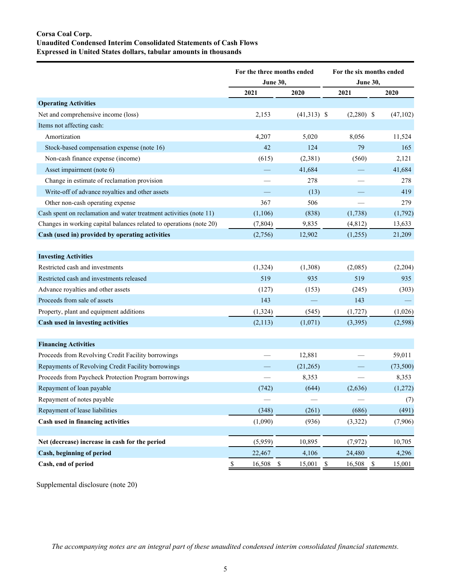# **Corsa Coal Corp. Unaudited Condensed Interim Consolidated Statements of Cash Flows Expressed in United States dollars, tabular amounts in thousands**

|                                                                     | For the three months ended |                        | For the six months ended |                       |
|---------------------------------------------------------------------|----------------------------|------------------------|--------------------------|-----------------------|
|                                                                     | <b>June 30,</b>            |                        | <b>June 30,</b>          |                       |
|                                                                     | 2021                       | 2020                   | 2021                     | 2020                  |
| <b>Operating Activities</b>                                         |                            |                        |                          |                       |
| Net and comprehensive income (loss)                                 | 2,153                      | $(41,313)$ \$          | $(2,280)$ \$             | (47, 102)             |
| Items not affecting cash:                                           |                            |                        |                          |                       |
| Amortization                                                        | 4,207                      | 5,020                  | 8,056                    | 11,524                |
| Stock-based compensation expense (note 16)                          | 42                         | 124                    | 79                       | 165                   |
| Non-cash finance expense (income)                                   | (615)                      | (2,381)                | (560)                    | 2,121                 |
| Asset impairment (note 6)                                           |                            | 41,684                 |                          | 41,684                |
| Change in estimate of reclamation provision                         |                            | 278                    |                          | 278                   |
| Write-off of advance royalties and other assets                     |                            | (13)                   |                          | 419                   |
| Other non-cash operating expense                                    | 367                        | 506                    |                          | 279                   |
| Cash spent on reclamation and water treatment activities (note 11)  | (1,106)                    | (838)                  | (1,738)                  | (1,792)               |
| Changes in working capital balances related to operations (note 20) | (7, 804)                   | 9,835                  | (4, 812)                 | 13,633                |
| Cash (used in) provided by operating activities                     | (2,756)                    | 12,902                 | (1,255)                  | 21,209                |
|                                                                     |                            |                        |                          |                       |
| <b>Investing Activities</b>                                         |                            |                        |                          |                       |
| Restricted cash and investments                                     | (1, 324)                   | (1,308)                | (2,085)                  | (2,204)               |
| Restricted cash and investments released                            | 519                        | 935                    | 519                      | 935                   |
| Advance royalties and other assets                                  | (127)                      | (153)                  | (245)                    | (303)                 |
| Proceeds from sale of assets                                        | 143                        |                        | 143                      |                       |
| Property, plant and equipment additions                             | (1, 324)                   | (545)                  | (1, 727)                 | (1,026)               |
| Cash used in investing activities                                   | (2,113)                    | (1,071)                | (3,395)                  | (2,598)               |
|                                                                     |                            |                        |                          |                       |
| <b>Financing Activities</b>                                         |                            |                        |                          |                       |
| Proceeds from Revolving Credit Facility borrowings                  |                            | 12,881                 |                          | 59,011                |
| Repayments of Revolving Credit Facility borrowings                  |                            | (21,265)               |                          | (73, 500)             |
| Proceeds from Paycheck Protection Program borrowings                |                            | 8,353                  |                          | 8,353                 |
| Repayment of loan payable                                           | (742)                      | (644)                  | (2,636)                  | (1,272)               |
| Repayment of notes payable                                          | $\overline{\phantom{0}}$   |                        |                          | (7)                   |
| Repayment of lease liabilities                                      | (348)                      | (261)                  | (686)                    | (491)                 |
| Cash used in financing activities                                   | (1,090)                    | (936)                  | (3, 322)                 | (7,906)               |
| Net (decrease) increase in cash for the period                      | (5,959)                    | 10,895                 | (7, 972)                 | 10,705                |
| Cash, beginning of period                                           | 22,467                     | 4,106                  | 24,480                   | 4,296                 |
| Cash, end of period                                                 | $\$$<br>16,508             | $\mathbb{S}$<br>15,001 | $\mathbb{S}$<br>16,508   | $\mathbb S$<br>15,001 |

Supplemental disclosure (note 20)

*The accompanying notes are an integral part of these unaudited condensed interim consolidated financial statements.*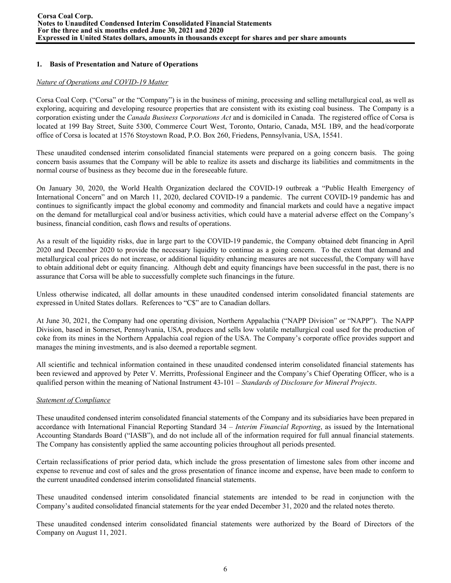# **1. Basis of Presentation and Nature of Operations**

## *Nature of Operations and COVID-19 Matter*

Corsa Coal Corp. ("Corsa" or the "Company") is in the business of mining, processing and selling metallurgical coal, as well as exploring, acquiring and developing resource properties that are consistent with its existing coal business. The Company is a corporation existing under the *Canada Business Corporations Act* and is domiciled in Canada. The registered office of Corsa is located at 199 Bay Street, Suite 5300, Commerce Court West, Toronto, Ontario, Canada, M5L 1B9, and the head/corporate office of Corsa is located at 1576 Stoystown Road, P.O. Box 260, Friedens, Pennsylvania, USA, 15541.

These unaudited condensed interim consolidated financial statements were prepared on a going concern basis. The going concern basis assumes that the Company will be able to realize its assets and discharge its liabilities and commitments in the normal course of business as they become due in the foreseeable future.

On January 30, 2020, the World Health Organization declared the COVID-19 outbreak a "Public Health Emergency of International Concern" and on March 11, 2020, declared COVID-19 a pandemic. The current COVID-19 pandemic has and continues to significantly impact the global economy and commodity and financial markets and could have a negative impact on the demand for metallurgical coal and/or business activities, which could have a material adverse effect on the Company's business, financial condition, cash flows and results of operations.

As a result of the liquidity risks, due in large part to the COVID-19 pandemic, the Company obtained debt financing in April 2020 and December 2020 to provide the necessary liquidity to continue as a going concern. To the extent that demand and metallurgical coal prices do not increase, or additional liquidity enhancing measures are not successful, the Company will have to obtain additional debt or equity financing. Although debt and equity financings have been successful in the past, there is no assurance that Corsa will be able to successfully complete such financings in the future.

Unless otherwise indicated, all dollar amounts in these unaudited condensed interim consolidated financial statements are expressed in United States dollars. References to "C\$" are to Canadian dollars.

At June 30, 2021, the Company had one operating division, Northern Appalachia ("NAPP Division" or "NAPP"). The NAPP Division, based in Somerset, Pennsylvania, USA, produces and sells low volatile metallurgical coal used for the production of coke from its mines in the Northern Appalachia coal region of the USA. The Company's corporate office provides support and manages the mining investments, and is also deemed a reportable segment.

All scientific and technical information contained in these unaudited condensed interim consolidated financial statements has been reviewed and approved by Peter V. Merritts, Professional Engineer and the Company's Chief Operating Officer, who is a qualified person within the meaning of National Instrument 43-101 – *Standards of Disclosure for Mineral Projects*.

# *Statement of Compliance*

These unaudited condensed interim consolidated financial statements of the Company and its subsidiaries have been prepared in accordance with International Financial Reporting Standard 34 – *Interim Financial Reporting*, as issued by the International Accounting Standards Board ("IASB"), and do not include all of the information required for full annual financial statements. The Company has consistently applied the same accounting policies throughout all periods presented.

Certain reclassifications of prior period data, which include the gross presentation of limestone sales from other income and expense to revenue and cost of sales and the gross presentation of finance income and expense, have been made to conform to the current unaudited condensed interim consolidated financial statements.

These unaudited condensed interim consolidated financial statements are intended to be read in conjunction with the Company's audited consolidated financial statements for the year ended December 31, 2020 and the related notes thereto.

These unaudited condensed interim consolidated financial statements were authorized by the Board of Directors of the Company on August 11, 2021.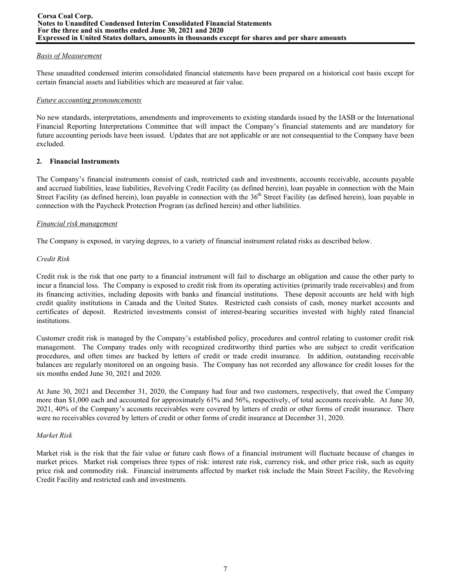## *Basis of Measurement*

These unaudited condensed interim consolidated financial statements have been prepared on a historical cost basis except for certain financial assets and liabilities which are measured at fair value.

## *Future accounting pronouncements*

No new standards, interpretations, amendments and improvements to existing standards issued by the IASB or the International Financial Reporting Interpretations Committee that will impact the Company's financial statements and are mandatory for future accounting periods have been issued. Updates that are not applicable or are not consequential to the Company have been excluded.

# **2. Financial Instruments**

The Company's financial instruments consist of cash, restricted cash and investments, accounts receivable, accounts payable and accrued liabilities, lease liabilities, Revolving Credit Facility (as defined herein), loan payable in connection with the Main Street Facility (as defined herein), loan payable in connection with the 36<sup>th</sup> Street Facility (as defined herein), loan payable in connection with the Paycheck Protection Program (as defined herein) and other liabilities.

## *Financial risk management*

The Company is exposed, in varying degrees, to a variety of financial instrument related risks as described below.

## *Credit Risk*

Credit risk is the risk that one party to a financial instrument will fail to discharge an obligation and cause the other party to incur a financial loss. The Company is exposed to credit risk from its operating activities (primarily trade receivables) and from its financing activities, including deposits with banks and financial institutions. These deposit accounts are held with high credit quality institutions in Canada and the United States. Restricted cash consists of cash, money market accounts and certificates of deposit. Restricted investments consist of interest-bearing securities invested with highly rated financial institutions.

Customer credit risk is managed by the Company's established policy, procedures and control relating to customer credit risk management. The Company trades only with recognized creditworthy third parties who are subject to credit verification procedures, and often times are backed by letters of credit or trade credit insurance. In addition, outstanding receivable balances are regularly monitored on an ongoing basis. The Company has not recorded any allowance for credit losses for the six months ended June 30, 2021 and 2020.

At June 30, 2021 and December 31, 2020, the Company had four and two customers, respectively, that owed the Company more than \$1,000 each and accounted for approximately 61% and 56%, respectively, of total accounts receivable. At June 30, 2021, 40% of the Company's accounts receivables were covered by letters of credit or other forms of credit insurance. There were no receivables covered by letters of credit or other forms of credit insurance at December 31, 2020.

# *Market Risk*

Market risk is the risk that the fair value or future cash flows of a financial instrument will fluctuate because of changes in market prices. Market risk comprises three types of risk: interest rate risk, currency risk, and other price risk, such as equity price risk and commodity risk. Financial instruments affected by market risk include the Main Street Facility, the Revolving Credit Facility and restricted cash and investments.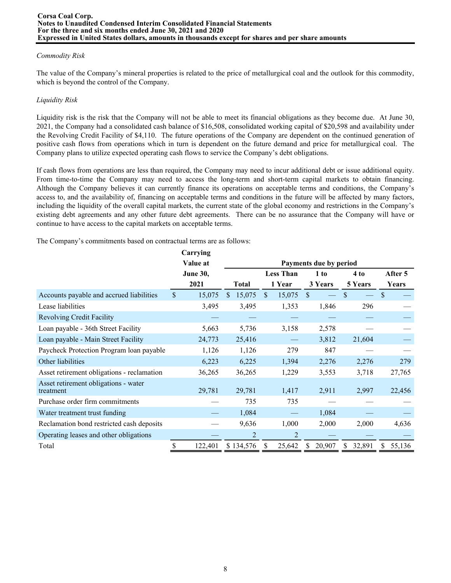# *Commodity Risk*

The value of the Company's mineral properties is related to the price of metallurgical coal and the outlook for this commodity, which is beyond the control of the Company.

# *Liquidity Risk*

Liquidity risk is the risk that the Company will not be able to meet its financial obligations as they become due. At June 30, 2021, the Company had a consolidated cash balance of \$16,508, consolidated working capital of \$20,598 and availability under the Revolving Credit Facility of \$4,110. The future operations of the Company are dependent on the continued generation of positive cash flows from operations which in turn is dependent on the future demand and price for metallurgical coal. The Company plans to utilize expected operating cash flows to service the Company's debt obligations.

If cash flows from operations are less than required, the Company may need to incur additional debt or issue additional equity. From time-to-time the Company may need to access the long-term and short-term capital markets to obtain financing. Although the Company believes it can currently finance its operations on acceptable terms and conditions, the Company's access to, and the availability of, financing on acceptable terms and conditions in the future will be affected by many factors, including the liquidity of the overall capital markets, the current state of the global economy and restrictions in the Company's existing debt agreements and any other future debt agreements. There can be no assurance that the Company will have or continue to have access to the capital markets on acceptable terms.

The Company's commitments based on contractual terms are as follows:

|                                                   |              | Carrying        |                |                  |        |               |                        |    |         |               |         |
|---------------------------------------------------|--------------|-----------------|----------------|------------------|--------|---------------|------------------------|----|---------|---------------|---------|
|                                                   |              | Value at        |                |                  |        |               | Payments due by period |    |         |               |         |
|                                                   |              | <b>June 30,</b> |                | <b>Less Than</b> |        | 1 to          |                        |    | 4 to    |               | After 5 |
|                                                   |              | 2021            | <b>Total</b>   |                  | 1 Year |               | 3 Years                |    | 5 Years |               | Years   |
| Accounts payable and accrued liabilities          | $\mathbb{S}$ | 15,075          | 15,075<br>S.   | <sup>\$</sup>    | 15,075 | <sup>\$</sup> |                        | \$ |         | $\mathcal{S}$ |         |
| Lease liabilities                                 |              | 3,495           | 3,495          |                  | 1,353  |               | 1,846                  |    | 296     |               |         |
| <b>Revolving Credit Facility</b>                  |              |                 |                |                  |        |               |                        |    |         |               |         |
| Loan payable - 36th Street Facility               |              | 5,663           | 5,736          |                  | 3,158  |               | 2,578                  |    |         |               |         |
| Loan payable - Main Street Facility               |              | 24,773          | 25,416         |                  |        |               | 3,812                  |    | 21,604  |               |         |
| Paycheck Protection Program loan payable          |              | 1,126           | 1,126          |                  | 279    |               | 847                    |    |         |               |         |
| Other liabilities                                 |              | 6,223           | 6,225          |                  | 1,394  |               | 2,276                  |    | 2,276   |               | 279     |
| Asset retirement obligations - reclamation        |              | 36,265          | 36,265         |                  | 1,229  |               | 3,553                  |    | 3,718   |               | 27,765  |
| Asset retirement obligations - water<br>treatment |              | 29,781          | 29,781         |                  | 1,417  |               | 2,911                  |    | 2,997   |               | 22,456  |
| Purchase order firm commitments                   |              |                 | 735            |                  | 735    |               |                        |    |         |               |         |
| Water treatment trust funding                     |              |                 | 1,084          |                  |        |               | 1,084                  |    |         |               |         |
| Reclamation bond restricted cash deposits         |              |                 | 9,636          |                  | 1,000  |               | 2,000                  |    | 2,000   |               | 4,636   |
| Operating leases and other obligations            |              |                 | $\overline{2}$ |                  | 2      |               |                        |    |         |               |         |
| Total                                             |              | 122,401         | \$134,576      |                  | 25,642 | S             | 20,907                 | S  | 32,891  |               | 55,136  |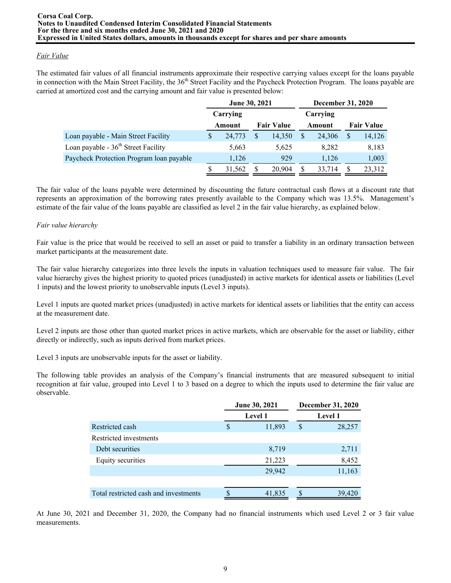# *Fair Value*

The estimated fair values of all financial instruments approximate their respective carrying values except for the loans payable in connection with the Main Street Facility, the 36<sup>th</sup> Street Facility and the Paycheck Protection Program. The loans payable are carried at amortized cost and the carrying amount and fair value is presented below:

|                                                 | June 30, 2021 |          |    |                   |  |          | <b>December 31, 2020</b> |                   |  |  |
|-------------------------------------------------|---------------|----------|----|-------------------|--|----------|--------------------------|-------------------|--|--|
|                                                 |               | Carrying |    |                   |  | Carrying |                          |                   |  |  |
|                                                 |               | Amount   |    | <b>Fair Value</b> |  | Amount   |                          | <b>Fair Value</b> |  |  |
| Loan payable - Main Street Facility             | S             | 24,773   | \$ | 14,350            |  | 24.306   | S                        | 14,126            |  |  |
| Loan payable - 36 <sup>th</sup> Street Facility |               | 5,663    |    | 5,625             |  | 8,282    |                          | 8,183             |  |  |
| Paycheck Protection Program loan payable        |               | 1,126    |    | 929               |  | 1,126    |                          | 1,003             |  |  |
|                                                 | S             | 31,562   | S  | 20.904            |  | 33,714   | S                        | 23,312            |  |  |

The fair value of the loans payable were determined by discounting the future contractual cash flows at a discount rate that represents an approximation of the borrowing rates presently available to the Company which was 13.5%. Management's estimate of the fair value of the loans payable are classified as level 2 in the fair value hierarchy, as explained below.

## *Fair value hierarchy*

Fair value is the price that would be received to sell an asset or paid to transfer a liability in an ordinary transaction between market participants at the measurement date.

The fair value hierarchy categorizes into three levels the inputs in valuation techniques used to measure fair value. The fair value hierarchy gives the highest priority to quoted prices (unadjusted) in active markets for identical assets or liabilities (Level 1 inputs) and the lowest priority to unobservable inputs (Level 3 inputs).

Level 1 inputs are quoted market prices (unadjusted) in active markets for identical assets or liabilities that the entity can access at the measurement date.

Level 2 inputs are those other than quoted market prices in active markets, which are observable for the asset or liability, either directly or indirectly, such as inputs derived from market prices.

Level 3 inputs are unobservable inputs for the asset or liability.

The following table provides an analysis of the Company's financial instruments that are measured subsequent to initial recognition at fair value, grouped into Level 1 to 3 based on a degree to which the inputs used to determine the fair value are observable.

|                                       |   | <b>June 30, 2021</b> | <b>December 31, 2020</b> |
|---------------------------------------|---|----------------------|--------------------------|
|                                       |   | <b>Level 1</b>       | <b>Level 1</b>           |
| Restricted cash                       | S | 11,893               | \$<br>28,257             |
| Restricted investments                |   |                      |                          |
| Debt securities                       |   | 8,719                | 2,711                    |
| Equity securities                     |   | 21,223               | 8,452                    |
|                                       |   | 29,942               | 11,163                   |
|                                       |   |                      |                          |
| Total restricted cash and investments |   | 41,835               | 39,420                   |

At June 30, 2021 and December 31, 2020, the Company had no financial instruments which used Level 2 or 3 fair value measurements.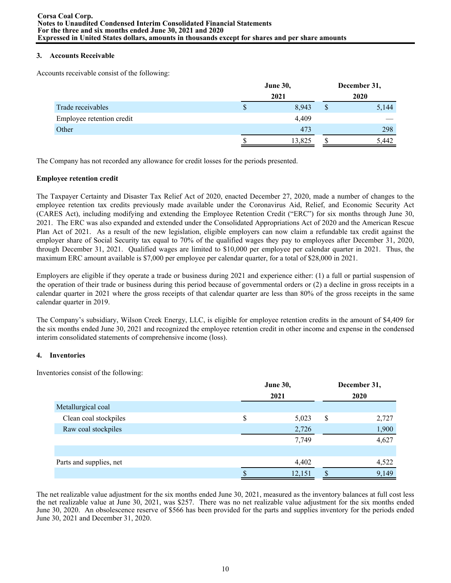## **3. Accounts Receivable**

Accounts receivable consist of the following:

|                           | <b>June 30,</b> |        |    | December 31, |
|---------------------------|-----------------|--------|----|--------------|
|                           |                 | 2021   |    | 2020         |
| Trade receivables         | S               | 8,943  | \$ | 5,144        |
| Employee retention credit |                 | 4,409  |    |              |
| Other                     |                 | 473    |    | 298          |
|                           |                 | 13,825 |    | 5,442        |

The Company has not recorded any allowance for credit losses for the periods presented.

## **Employee retention credit**

The Taxpayer Certainty and Disaster Tax Relief Act of 2020, enacted December 27, 2020, made a number of changes to the employee retention tax credits previously made available under the Coronavirus Aid, Relief, and Economic Security Act (CARES Act), including modifying and extending the Employee Retention Credit ("ERC") for six months through June 30, 2021. The ERC was also expanded and extended under the Consolidated Appropriations Act of 2020 and the American Rescue Plan Act of 2021. As a result of the new legislation, eligible employers can now claim a refundable tax credit against the employer share of Social Security tax equal to 70% of the qualified wages they pay to employees after December 31, 2020, through December 31, 2021. Qualified wages are limited to \$10,000 per employee per calendar quarter in 2021. Thus, the maximum ERC amount available is \$7,000 per employee per calendar quarter, for a total of \$28,000 in 2021.

Employers are eligible if they operate a trade or business during 2021 and experience either: (1) a full or partial suspension of the operation of their trade or business during this period because of governmental orders or (2) a decline in gross receipts in a calendar quarter in 2021 where the gross receipts of that calendar quarter are less than 80% of the gross receipts in the same calendar quarter in 2019.

The Company's subsidiary, Wilson Creek Energy, LLC, is eligible for employee retention credits in the amount of \$4,409 for the six months ended June 30, 2021 and recognized the employee retention credit in other income and expense in the condensed interim consolidated statements of comprehensive income (loss).

# **4. Inventories**

Inventories consist of the following:

|                         | June 30, | December 31, |   |       |  |  |
|-------------------------|----------|--------------|---|-------|--|--|
|                         |          | 2021         |   | 2020  |  |  |
| Metallurgical coal      |          |              |   |       |  |  |
| Clean coal stockpiles   | \$       | 5,023        | S | 2,727 |  |  |
| Raw coal stockpiles     |          | 2,726        |   | 1,900 |  |  |
|                         |          | 7,749        |   | 4,627 |  |  |
|                         |          |              |   |       |  |  |
| Parts and supplies, net |          | 4,402        |   | 4,522 |  |  |
|                         |          | 12,151       |   | 9,149 |  |  |
|                         |          |              |   |       |  |  |

The net realizable value adjustment for the six months ended June 30, 2021, measured as the inventory balances at full cost less the net realizable value at June 30, 2021, was \$257. There was no net realizable value adjustment for the six months ended June 30, 2020. An obsolescence reserve of \$566 has been provided for the parts and supplies inventory for the periods ended June 30, 2021 and December 31, 2020.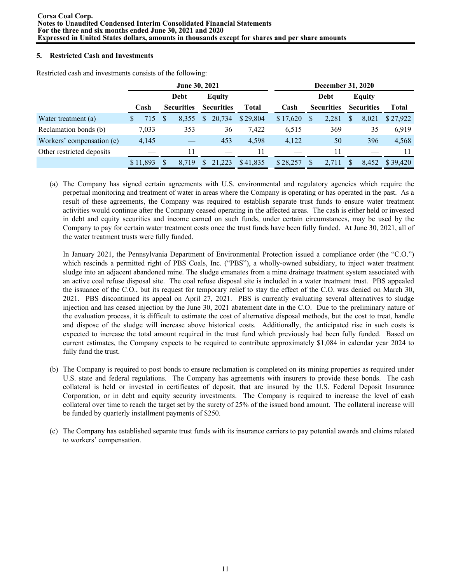# **5. Restricted Cash and Investments**

|                           | June 30, 2021 |     |                   |    |                   |              | December 31, 2020 |          |     |                   |   |                   |              |
|---------------------------|---------------|-----|-------------------|----|-------------------|--------------|-------------------|----------|-----|-------------------|---|-------------------|--------------|
|                           |               |     | Debt              |    | <b>Equity</b>     |              |                   |          |     | Debt              |   | <b>Equity</b>     |              |
|                           | Cash          |     | <b>Securities</b> |    | <b>Securities</b> | <b>Total</b> |                   | Cash     |     | <b>Securities</b> |   | <b>Securities</b> | <b>Total</b> |
| Water treatment (a)       | 715           | \$. | 8,355             | S. | 20,734            | \$29,804     |                   | \$17,620 | S   | 2,281             | S | 8,021             | \$27,922     |
| Reclamation bonds (b)     | 7,033         |     | 353               |    | 36                | 7,422        |                   | 6,515    |     | 369               |   | 35                | 6,919        |
| Workers' compensation (c) | 4,145         |     |                   |    | 453               | 4,598        |                   | 4,122    |     | 50                |   | 396               | 4,568        |
| Other restricted deposits |               |     | 11                |    |                   | 11           |                   |          |     | 11                |   |                   |              |
|                           | \$11,893      | S   | 8.719             | S. | 21.223            | \$41,835     |                   | \$28,257 | \$. | 2.711             | S | 8,452             | \$39,420     |

Restricted cash and investments consists of the following:

(a) The Company has signed certain agreements with U.S. environmental and regulatory agencies which require the perpetual monitoring and treatment of water in areas where the Company is operating or has operated in the past. As a result of these agreements, the Company was required to establish separate trust funds to ensure water treatment activities would continue after the Company ceased operating in the affected areas. The cash is either held or invested in debt and equity securities and income earned on such funds, under certain circumstances, may be used by the Company to pay for certain water treatment costs once the trust funds have been fully funded. At June 30, 2021, all of the water treatment trusts were fully funded.

In January 2021, the Pennsylvania Department of Environmental Protection issued a compliance order (the "C.O.") which rescinds a permitted right of PBS Coals, Inc. ("PBS"), a wholly-owned subsidiary, to inject water treatment sludge into an adjacent abandoned mine. The sludge emanates from a mine drainage treatment system associated with an active coal refuse disposal site. The coal refuse disposal site is included in a water treatment trust. PBS appealed the issuance of the C.O., but its request for temporary relief to stay the effect of the C.O. was denied on March 30, 2021. PBS discontinued its appeal on April 27, 2021. PBS is currently evaluating several alternatives to sludge injection and has ceased injection by the June 30, 2021 abatement date in the C.O. Due to the preliminary nature of the evaluation process, it is difficult to estimate the cost of alternative disposal methods, but the cost to treat, handle and dispose of the sludge will increase above historical costs. Additionally, the anticipated rise in such costs is expected to increase the total amount required in the trust fund which previously had been fully funded. Based on current estimates, the Company expects to be required to contribute approximately \$1,084 in calendar year 2024 to fully fund the trust.

- (b) The Company is required to post bonds to ensure reclamation is completed on its mining properties as required under U.S. state and federal regulations. The Company has agreements with insurers to provide these bonds. The cash collateral is held or invested in certificates of deposit, that are insured by the U.S. Federal Deposit Insurance Corporation, or in debt and equity security investments. The Company is required to increase the level of cash collateral over time to reach the target set by the surety of 25% of the issued bond amount. The collateral increase will be funded by quarterly installment payments of \$250.
- (c) The Company has established separate trust funds with its insurance carriers to pay potential awards and claims related to workers' compensation.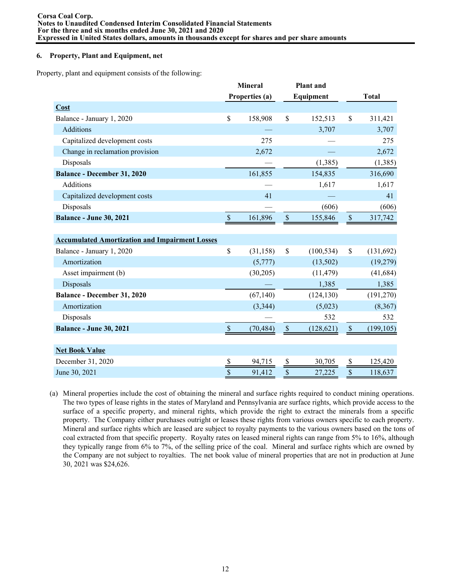## **6. Property, Plant and Equipment, net**

Property, plant and equipment consists of the following:

|                                                       |                           | <b>Mineral</b> |                           | <b>Plant</b> and |                                 |              |
|-------------------------------------------------------|---------------------------|----------------|---------------------------|------------------|---------------------------------|--------------|
|                                                       |                           | Properties (a) |                           | Equipment        |                                 | <b>Total</b> |
| Cost                                                  |                           |                |                           |                  |                                 |              |
| Balance - January 1, 2020                             | \$                        | 158,908        | \$                        | 152,513          | \$                              | 311,421      |
| Additions                                             |                           |                |                           | 3,707            |                                 | 3,707        |
| Capitalized development costs                         |                           | 275            |                           |                  |                                 | 275          |
| Change in reclamation provision                       |                           | 2,672          |                           |                  |                                 | 2,672        |
| Disposals                                             |                           |                |                           | (1, 385)         |                                 | (1, 385)     |
| <b>Balance - December 31, 2020</b>                    |                           | 161,855        |                           | 154,835          |                                 | 316,690      |
| Additions                                             |                           |                |                           | 1,617            |                                 | 1,617        |
| Capitalized development costs                         |                           | 41             |                           |                  |                                 | 41           |
| Disposals                                             |                           |                |                           | (606)            |                                 | (606)        |
| <b>Balance - June 30, 2021</b>                        | $\boldsymbol{\mathsf{S}}$ | 161,896        | $\boldsymbol{\mathsf{S}}$ | 155,846          | $\mathbb{S}$                    | 317,742      |
|                                                       |                           |                |                           |                  |                                 |              |
| <b>Accumulated Amortization and Impairment Losses</b> |                           |                |                           |                  |                                 |              |
| Balance - January 1, 2020                             | \$                        | (31, 158)      | $\mathsf{\$}$             | (100, 534)       | \$                              | (131, 692)   |
| Amortization                                          |                           | (5,777)        |                           | (13,502)         |                                 | (19,279)     |
| Asset impairment (b)                                  |                           | (30,205)       |                           | (11, 479)        |                                 | (41, 684)    |
| Disposals                                             |                           |                |                           | 1,385            |                                 | 1,385        |
| Balance - December 31, 2020                           |                           | (67,140)       |                           | (124, 130)       |                                 | (191, 270)   |
| Amortization                                          |                           | (3, 344)       |                           | (5,023)          |                                 | (8,367)      |
| Disposals                                             |                           |                |                           | 532              |                                 | 532          |
| <b>Balance - June 30, 2021</b>                        | $\mathbf{s}$              | (70, 484)      | $\mathsf{\$}$             | (128, 621)       | $\mathcal{S}$                   | (199, 105)   |
|                                                       |                           |                |                           |                  |                                 |              |
| <b>Net Book Value</b>                                 |                           |                |                           |                  |                                 |              |
| December 31, 2020                                     | \$                        | 94,715         | \$                        | 30,705           | $\frac{\mathsf{s}}{\mathsf{s}}$ | 125,420      |
| June 30, 2021                                         | \$                        | 91,412         | \$                        | 27,225           | \$                              | 118,637      |

(a) Mineral properties include the cost of obtaining the mineral and surface rights required to conduct mining operations. The two types of lease rights in the states of Maryland and Pennsylvania are surface rights, which provide access to the surface of a specific property, and mineral rights, which provide the right to extract the minerals from a specific property. The Company either purchases outright or leases these rights from various owners specific to each property. Mineral and surface rights which are leased are subject to royalty payments to the various owners based on the tons of coal extracted from that specific property. Royalty rates on leased mineral rights can range from 5% to 16%, although they typically range from 6% to 7%, of the selling price of the coal. Mineral and surface rights which are owned by the Company are not subject to royalties. The net book value of mineral properties that are not in production at June 30, 2021 was \$24,626.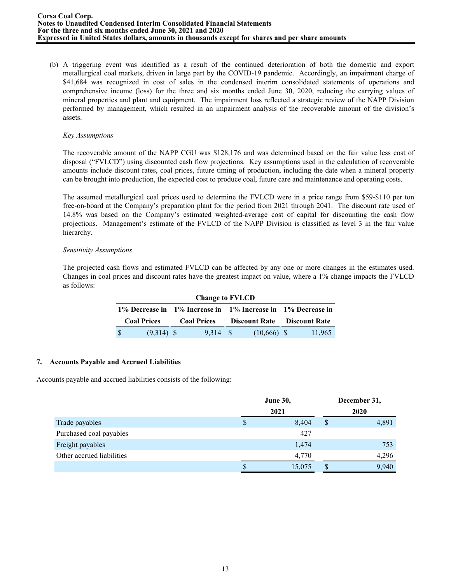(b) A triggering event was identified as a result of the continued deterioration of both the domestic and export metallurgical coal markets, driven in large part by the COVID-19 pandemic. Accordingly, an impairment charge of \$41,684 was recognized in cost of sales in the condensed interim consolidated statements of operations and comprehensive income (loss) for the three and six months ended June 30, 2020, reducing the carrying values of mineral properties and plant and equipment. The impairment loss reflected a strategic review of the NAPP Division performed by management, which resulted in an impairment analysis of the recoverable amount of the division's assets.

#### *Key Assumptions*

The recoverable amount of the NAPP CGU was \$128,176 and was determined based on the fair value less cost of disposal ("FVLCD") using discounted cash flow projections. Key assumptions used in the calculation of recoverable amounts include discount rates, coal prices, future timing of production, including the date when a mineral property can be brought into production, the expected cost to produce coal, future care and maintenance and operating costs.

The assumed metallurgical coal prices used to determine the FVLCD were in a price range from \$59-\$110 per ton free-on-board at the Company's preparation plant for the period from 2021 through 2041. The discount rate used of 14.8% was based on the Company's estimated weighted-average cost of capital for discounting the cash flow projections. Management's estimate of the FVLCD of the NAPP Division is classified as level 3 in the fair value hierarchy.

# *Sensitivity Assumptions*

The projected cash flows and estimated FVLCD can be affected by any one or more changes in the estimates used. Changes in coal prices and discount rates have the greatest impact on value, where a 1% change impacts the FVLCD as follows:

|                    | <b>Change to FVLCD</b> |  |                    |  |               |                                                             |        |  |  |  |  |  |  |
|--------------------|------------------------|--|--------------------|--|---------------|-------------------------------------------------------------|--------|--|--|--|--|--|--|
|                    |                        |  |                    |  |               | 1% Decrease in 1% Increase in 1% Increase in 1% Decrease in |        |  |  |  |  |  |  |
| <b>Coal Prices</b> |                        |  | <b>Coal Prices</b> |  |               | <b>Discount Rate</b> Discount Rate                          |        |  |  |  |  |  |  |
|                    | $(9,314)$ \$           |  | 9.314 S            |  | $(10,666)$ \$ |                                                             | 11,965 |  |  |  |  |  |  |

# **7. Accounts Payable and Accrued Liabilities**

Accounts payable and accrued liabilities consists of the following:

|                           |    | <b>June 30,</b> |   | December 31, |
|---------------------------|----|-----------------|---|--------------|
|                           |    | 2021            |   | 2020         |
| Trade payables            | \$ | 8,404           | S | 4,891        |
| Purchased coal payables   |    | 427             |   |              |
| Freight payables          |    | 1,474           |   | 753          |
| Other accrued liabilities |    | 4,770           |   | 4,296        |
|                           | D  | 15,075          |   | 9,940        |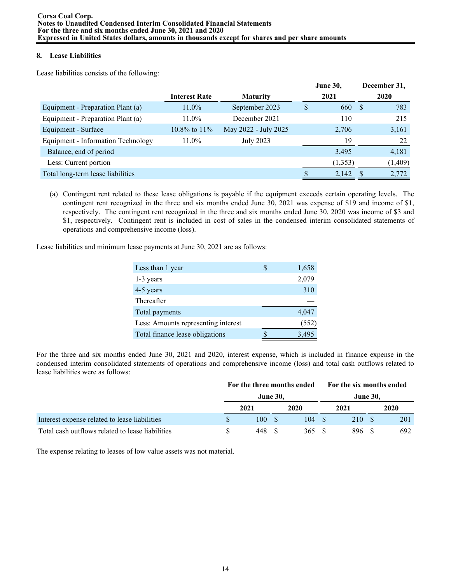# **8. Lease Liabilities**

Lease liabilities consists of the following:

|                                    |                      |                      | <b>June 30,</b> |    | December 31, |
|------------------------------------|----------------------|----------------------|-----------------|----|--------------|
|                                    | <b>Interest Rate</b> | <b>Maturity</b>      | 2021            |    | 2020         |
| Equipment - Preparation Plant (a)  | $11.0\%$             | September 2023       | \$<br>660       | -S | 783          |
| Equipment - Preparation Plant (a)  | $11.0\%$             | December 2021        | 110             |    | 215          |
| Equipment - Surface                | 10.8% to 11%         | May 2022 - July 2025 | 2,706           |    | 3,161        |
| Equipment - Information Technology | $11.0\%$             | <b>July 2023</b>     | 19              |    | 22           |
| Balance, end of period             |                      |                      | 3,495           |    | 4,181        |
| Less: Current portion              |                      |                      | (1,353)         |    | (1,409)      |
| Total long-term lease liabilities  |                      |                      | 2,142           |    | 2,772        |

(a) Contingent rent related to these lease obligations is payable if the equipment exceeds certain operating levels. The contingent rent recognized in the three and six months ended June 30, 2021 was expense of \$19 and income of \$1, respectively. The contingent rent recognized in the three and six months ended June 30, 2020 was income of \$3 and \$1, respectively. Contingent rent is included in cost of sales in the condensed interim consolidated statements of operations and comprehensive income (loss).

Lease liabilities and minimum lease payments at June 30, 2021 are as follows:

| Less than 1 year                    | 1,658 |
|-------------------------------------|-------|
| 1-3 years                           | 2,079 |
| 4-5 years                           | 310   |
| Thereafter                          |       |
| Total payments                      | 4,047 |
| Less: Amounts representing interest | (552) |
| Total finance lease obligations     | 3,495 |

For the three and six months ended June 30, 2021 and 2020, interest expense, which is included in finance expense in the condensed interim consolidated statements of operations and comprehensive income (loss) and total cash outflows related to lease liabilities were as follows:

|                                                  |                 |      |  | For the three months ended |  | For the six months ended |  |      |  |  |
|--------------------------------------------------|-----------------|------|--|----------------------------|--|--------------------------|--|------|--|--|
|                                                  | <b>June 30,</b> |      |  |                            |  | <b>June 30.</b>          |  |      |  |  |
|                                                  |                 | 2021 |  | 2020                       |  | 2021                     |  | 2020 |  |  |
| Interest expense related to lease liabilities    |                 | 100  |  | 104                        |  | 210                      |  | 201  |  |  |
| Total cash outflows related to lease liabilities |                 | 448  |  | 365                        |  | 896                      |  | 692  |  |  |

The expense relating to leases of low value assets was not material.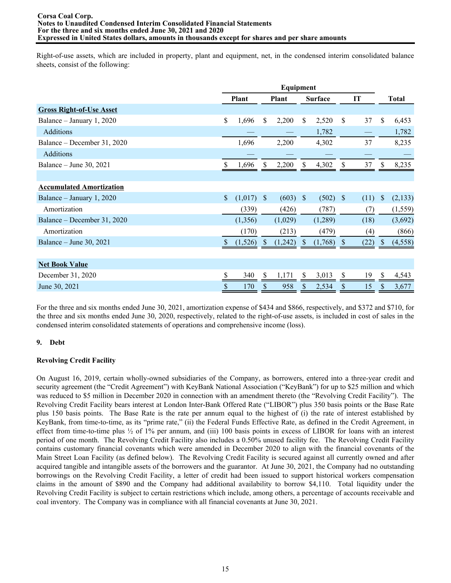Right-of-use assets, which are included in property, plant and equipment, net, in the condensed interim consolidated balance sheets, consist of the following:

|                                 |                           |              |                           | Equipment    |               |                |               |      |               |
|---------------------------------|---------------------------|--------------|---------------------------|--------------|---------------|----------------|---------------|------|---------------|
|                                 |                           | <b>Plant</b> |                           | <b>Plant</b> |               | <b>Surface</b> |               | IT   | <b>Total</b>  |
| <b>Gross Right-of-Use Asset</b> |                           |              |                           |              |               |                |               |      |               |
| Balance – January 1, 2020       | \$                        | 1,696        | \$                        | 2,200        | \$            | 2,520          | \$            | 37   | \$<br>6,453   |
| <b>Additions</b>                |                           |              |                           |              |               | 1,782          |               |      | 1,782         |
| Balance – December 31, 2020     |                           | 1,696        |                           | 2,200        |               | 4,302          |               | 37   | 8,235         |
| Additions                       |                           |              |                           |              |               |                |               |      |               |
| Balance – June 30, 2021         |                           | 1,696        | Ÿ,                        | 2,200        |               | 4,302          |               | 37   | 8,235         |
|                                 |                           |              |                           |              |               |                |               |      |               |
| <b>Accumulated Amortization</b> |                           |              |                           |              |               |                |               |      |               |
| Balance – January 1, 2020       | $\boldsymbol{\mathsf{S}}$ | (1,017)      | $\boldsymbol{\mathsf{S}}$ | (603)        | $\mathcal{S}$ | (502)          | <sup>\$</sup> | (11) | \$<br>(2,133) |
| Amortization                    |                           | (339)        |                           | (426)        |               | (787)          |               | (7)  | (1, 559)      |
| Balance – December 31, 2020     |                           | (1,356)      |                           | (1,029)      |               | (1,289)        |               | (18) | (3,692)       |
| Amortization                    |                           | (170)        |                           | (213)        |               | (479)          |               | (4)  | (866)         |
| Balance – June 30, 2021         | S.                        | (1,526)      | У.                        | (1,242)      |               | (1,768)        |               | (22) | \$<br>(4,558) |
|                                 |                           |              |                           |              |               |                |               |      |               |
| <b>Net Book Value</b>           |                           |              |                           |              |               |                |               |      |               |
| December 31, 2020               |                           | 340          | $\mathbb{S}$              | 1,171        | S             | 3,013          | $\mathbb{S}$  | 19   | \$<br>4,543   |
| June 30, 2021                   | \$                        | 170          | \$                        | 958          | \$            | 2,534          | \$            | 15   | \$<br>3,677   |

For the three and six months ended June 30, 2021, amortization expense of \$434 and \$866, respectively, and \$372 and \$710, for the three and six months ended June 30, 2020, respectively, related to the right-of-use assets, is included in cost of sales in the condensed interim consolidated statements of operations and comprehensive income (loss).

# **9. Debt**

# **Revolving Credit Facility**

On August 16, 2019, certain wholly-owned subsidiaries of the Company, as borrowers, entered into a three-year credit and security agreement (the "Credit Agreement") with KeyBank National Association ("KeyBank") for up to \$25 million and which was reduced to \$5 million in December 2020 in connection with an amendment thereto (the "Revolving Credit Facility"). The Revolving Credit Facility bears interest at London Inter-Bank Offered Rate ("LIBOR") plus 350 basis points or the Base Rate plus 150 basis points. The Base Rate is the rate per annum equal to the highest of (i) the rate of interest established by KeyBank, from time-to-time, as its "prime rate," (ii) the Federal Funds Effective Rate, as defined in the Credit Agreement, in effect from time-to-time plus  $\frac{1}{2}$  of 1% per annum, and (iii) 100 basis points in excess of LIBOR for loans with an interest period of one month. The Revolving Credit Facility also includes a 0.50% unused facility fee. The Revolving Credit Facility contains customary financial covenants which were amended in December 2020 to align with the financial covenants of the Main Street Loan Facility (as defined below). The Revolving Credit Facility is secured against all currently owned and after acquired tangible and intangible assets of the borrowers and the guarantor. At June 30, 2021, the Company had no outstanding borrowings on the Revolving Credit Facility, a letter of credit had been issued to support historical workers compensation claims in the amount of \$890 and the Company had additional availability to borrow \$4,110. Total liquidity under the Revolving Credit Facility is subject to certain restrictions which include, among others, a percentage of accounts receivable and coal inventory. The Company was in compliance with all financial covenants at June 30, 2021.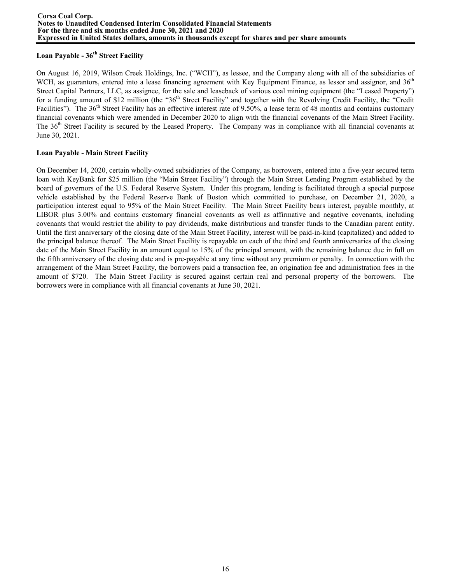# **Loan Payable - 36th Street Facility**

On August 16, 2019, Wilson Creek Holdings, Inc. ("WCH"), as lessee, and the Company along with all of the subsidiaries of WCH, as guarantors, entered into a lease financing agreement with Key Equipment Finance, as lessor and assignor, and 36<sup>th</sup> Street Capital Partners, LLC, as assignee, for the sale and leaseback of various coal mining equipment (the "Leased Property") for a funding amount of \$12 million (the "36<sup>th</sup> Street Facility" and together with the Revolving Credit Facility, the "Credit" Facilities"). The  $36<sup>th</sup>$  Street Facility has an effective interest rate of 9.50%, a lease term of 48 months and contains customary financial covenants which were amended in December 2020 to align with the financial covenants of the Main Street Facility. The 36<sup>th</sup> Street Facility is secured by the Leased Property. The Company was in compliance with all financial covenants at June 30, 2021.

# **Loan Payable - Main Street Facility**

On December 14, 2020, certain wholly-owned subsidiaries of the Company, as borrowers, entered into a five-year secured term loan with KeyBank for \$25 million (the "Main Street Facility") through the Main Street Lending Program established by the board of governors of the U.S. Federal Reserve System. Under this program, lending is facilitated through a special purpose vehicle established by the Federal Reserve Bank of Boston which committed to purchase, on December 21, 2020, a participation interest equal to 95% of the Main Street Facility. The Main Street Facility bears interest, payable monthly, at LIBOR plus 3.00% and contains customary financial covenants as well as affirmative and negative covenants, including covenants that would restrict the ability to pay dividends, make distributions and transfer funds to the Canadian parent entity. Until the first anniversary of the closing date of the Main Street Facility, interest will be paid-in-kind (capitalized) and added to the principal balance thereof. The Main Street Facility is repayable on each of the third and fourth anniversaries of the closing date of the Main Street Facility in an amount equal to 15% of the principal amount, with the remaining balance due in full on the fifth anniversary of the closing date and is pre-payable at any time without any premium or penalty. In connection with the arrangement of the Main Street Facility, the borrowers paid a transaction fee, an origination fee and administration fees in the amount of \$720. The Main Street Facility is secured against certain real and personal property of the borrowers. The borrowers were in compliance with all financial covenants at June 30, 2021.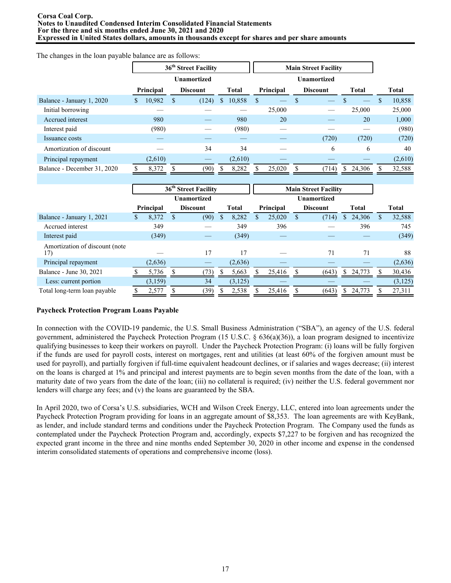#### **Corsa Coal Corp. Notes to Unaudited Condensed Interim Consolidated Financial Statements For the three and six months ended June 30, 2021 and 2020 Expressed in United States dollars, amounts in thousands except for shares and per share amounts**

**36th Street Facility Main Street Facility Unamortized Unamortized Principal Discount Total Principal Discount Total Total** Balance - January 1, 2020 \$ 10,982 \$ (124) \$ 10,858 \$ — \$ — \$ — \$ 10,858 Initial borrowing — — — 25,000 — 25,000 25,000 Accrued interest **980** — 980 20 — 20 1,000 Interest paid (980) — (980) — — — (980) Issuance costs — — — — — — — — (720) (720) (720) (720) Amortization of discount — 34 34 — 6 6 40 Principal repayment  $(2,610)$   $(2,610)$   $(2,610)$ Balance - December 31, 2020 \$ 8,372 \$ (90) \$ 8,282 \$ 25,020 \$ (714) \$ 24,306 \$ 32,588

|                                        |           | 36 <sup>th</sup> Street Facility | <b>Main Street Facility</b> |          |  |           |   |                 |    |              |   |              |
|----------------------------------------|-----------|----------------------------------|-----------------------------|----------|--|-----------|---|-----------------|----|--------------|---|--------------|
|                                        |           |                                  | <b>Unamortized</b>          |          |  |           |   | Unamortized     |    |              |   |              |
|                                        | Principal |                                  | <b>Discount</b>             | Total    |  | Principal |   | <b>Discount</b> |    | <b>Total</b> |   | <b>Total</b> |
| Balance - January 1, 2021              | 8,372     |                                  | (90)                        | 8,282    |  | 25,020    | S | (714)           |    | 24,306       | S | 32,588       |
| Accrued interest                       | 349       |                                  |                             | 349      |  | 396       |   |                 |    | 396          |   | 745          |
| Interest paid                          | (349)     |                                  |                             | (349)    |  |           |   |                 |    |              |   | (349)        |
| Amortization of discount (note)<br>17) |           |                                  | 17                          | 17       |  |           |   | 71              |    | 71           |   | 88           |
| Principal repayment                    | (2,636)   |                                  |                             | (2,636)  |  |           |   |                 |    |              |   | (2,636)      |
| Balance - June 30, 2021                | 5,736     |                                  | (73)                        | 5,663    |  | 25.416    |   | (643)           | S. | 24.773       |   | 30,436       |
| Less: current portion                  | (3, 159)  |                                  | 34                          | (3, 125) |  |           |   |                 |    |              |   | (3, 125)     |
| Total long-term loan payable           | 2,577     |                                  | (39)                        | 2,538    |  | 25,416    |   | (643)           |    | 24,773       |   | 27,311       |

# **Paycheck Protection Program Loans Payable**

The changes in the loan payable balance are as follows:

In connection with the COVID-19 pandemic, the U.S. Small Business Administration ("SBA"), an agency of the U.S. federal government, administered the Paycheck Protection Program (15 U.S.C. § 636(a)(36)), a loan program designed to incentivize qualifying businesses to keep their workers on payroll. Under the Paycheck Protection Program: (i) loans will be fully forgiven if the funds are used for payroll costs, interest on mortgages, rent and utilities (at least 60% of the forgiven amount must be used for payroll), and partially forgiven if full-time equivalent headcount declines, or if salaries and wages decrease; (ii) interest on the loans is charged at 1% and principal and interest payments are to begin seven months from the date of the loan, with a maturity date of two years from the date of the loan; (iii) no collateral is required; (iv) neither the U.S. federal government nor lenders will charge any fees; and (v) the loans are guaranteed by the SBA.

In April 2020, two of Corsa's U.S. subsidiaries, WCH and Wilson Creek Energy, LLC, entered into loan agreements under the Paycheck Protection Program providing for loans in an aggregate amount of \$8,353. The loan agreements are with KeyBank, as lender, and include standard terms and conditions under the Paycheck Protection Program. The Company used the funds as contemplated under the Paycheck Protection Program and, accordingly, expects \$7,227 to be forgiven and has recognized the expected grant income in the three and nine months ended September 30, 2020 in other income and expense in the condensed interim consolidated statements of operations and comprehensive income (loss).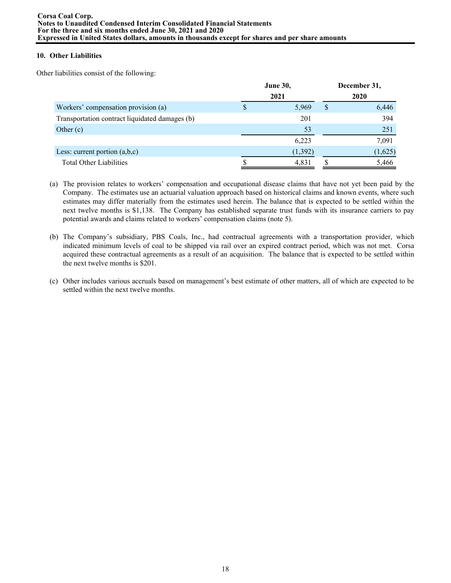# **10. Other Liabilities**

Other liabilities consist of the following:

|                                                | <b>June 30,</b> |   | December 31, |
|------------------------------------------------|-----------------|---|--------------|
|                                                | 2021            |   | 2020         |
| Workers' compensation provision (a)            | 5,969           | S | 6,446        |
| Transportation contract liquidated damages (b) | 201             |   | 394          |
| Other $(c)$                                    | 53              |   | 251          |
|                                                | 6,223           |   | 7,091        |
| Less: current portion $(a,b,c)$                | (1, 392)        |   | (1,625)      |
| <b>Total Other Liabilities</b>                 | 4,831           |   | 5,466        |

- (a) The provision relates to workers' compensation and occupational disease claims that have not yet been paid by the Company. The estimates use an actuarial valuation approach based on historical claims and known events, where such estimates may differ materially from the estimates used herein. The balance that is expected to be settled within the next twelve months is \$1,138. The Company has established separate trust funds with its insurance carriers to pay potential awards and claims related to workers' compensation claims (note 5).
- (b) The Company's subsidiary, PBS Coals, Inc., had contractual agreements with a transportation provider, which indicated minimum levels of coal to be shipped via rail over an expired contract period, which was not met. Corsa acquired these contractual agreements as a result of an acquisition. The balance that is expected to be settled within the next twelve months is \$201.
- (c) Other includes various accruals based on management's best estimate of other matters, all of which are expected to be settled within the next twelve months.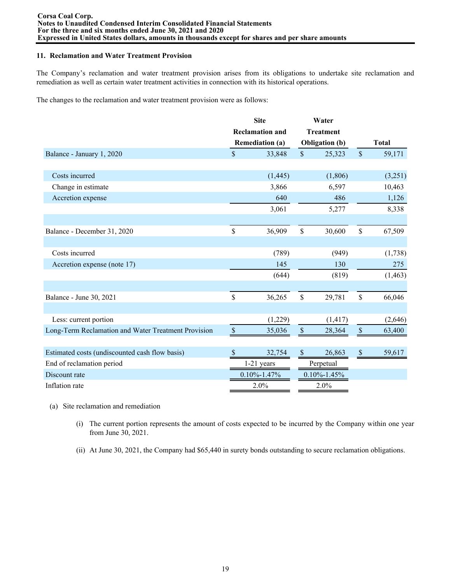## **11. Reclamation and Water Treatment Provision**

The Company's reclamation and water treatment provision arises from its obligations to undertake site reclamation and remediation as well as certain water treatment activities in connection with its historical operations.

The changes to the reclamation and water treatment provision were as follows:

|                                                     |               | <b>Site</b>            |               | Water                 |               |              |
|-----------------------------------------------------|---------------|------------------------|---------------|-----------------------|---------------|--------------|
|                                                     |               | <b>Reclamation and</b> |               | <b>Treatment</b>      |               |              |
|                                                     |               | <b>Remediation (a)</b> |               | <b>Obligation</b> (b) |               | <b>Total</b> |
| Balance - January 1, 2020                           | \$            | 33,848                 | $\mathsf{\$}$ | 25,323                | $\sqrt{\ }$   | 59,171       |
|                                                     |               |                        |               |                       |               |              |
| Costs incurred                                      |               | (1,445)                |               | (1,806)               |               | (3,251)      |
| Change in estimate                                  |               | 3,866                  |               | 6,597                 |               | 10,463       |
| Accretion expense                                   |               | 640                    |               | 486                   |               | 1,126        |
|                                                     |               | 3,061                  |               | 5,277                 |               | 8,338        |
|                                                     |               |                        |               |                       |               |              |
| Balance - December 31, 2020                         | \$            | 36,909                 | \$            | 30,600                | \$            | 67,509       |
|                                                     |               |                        |               |                       |               |              |
| Costs incurred                                      |               | (789)                  |               | (949)                 |               | (1,738)      |
| Accretion expense (note 17)                         |               | 145                    |               | 130                   |               | 275          |
|                                                     |               | (644)                  |               | (819)                 |               | (1, 463)     |
|                                                     |               |                        |               |                       |               |              |
| Balance - June 30, 2021                             | \$            | 36,265                 | \$            | 29,781                | \$            | 66,046       |
|                                                     |               |                        |               |                       |               |              |
| Less: current portion                               |               | (1,229)                |               | (1, 417)              |               | (2,646)      |
| Long-Term Reclamation and Water Treatment Provision | $\mathcal{S}$ | 35,036                 | $\mathbb{S}$  | 28,364                | $\mathbb{S}$  | 63,400       |
|                                                     |               |                        |               |                       |               |              |
| Estimated costs (undiscounted cash flow basis)      | <sup>S</sup>  | 32,754                 | S             | 26,863                | $\mathcal{S}$ | 59,617       |
| End of reclamation period                           |               | $1-21$ years           |               | Perpetual             |               |              |
| Discount rate                                       |               | $0.10\% - 1.47\%$      |               | $0.10\% - 1.45\%$     |               |              |
| Inflation rate                                      |               | 2.0%                   |               | 2.0%                  |               |              |

- (a) Site reclamation and remediation
	- (i) The current portion represents the amount of costs expected to be incurred by the Company within one year from June 30, 2021.
	- (ii) At June 30, 2021, the Company had \$65,440 in surety bonds outstanding to secure reclamation obligations.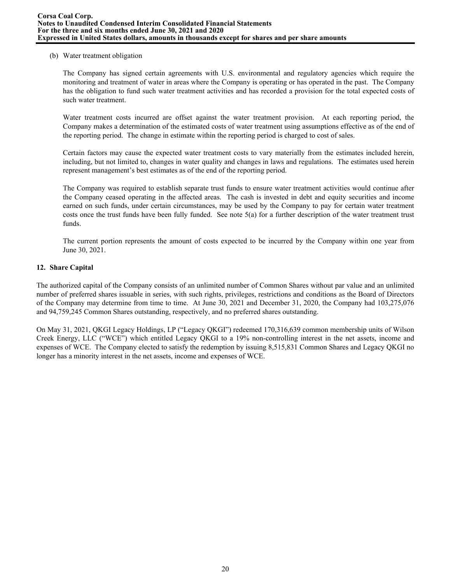## (b) Water treatment obligation

The Company has signed certain agreements with U.S. environmental and regulatory agencies which require the monitoring and treatment of water in areas where the Company is operating or has operated in the past. The Company has the obligation to fund such water treatment activities and has recorded a provision for the total expected costs of such water treatment.

Water treatment costs incurred are offset against the water treatment provision. At each reporting period, the Company makes a determination of the estimated costs of water treatment using assumptions effective as of the end of the reporting period. The change in estimate within the reporting period is charged to cost of sales.

Certain factors may cause the expected water treatment costs to vary materially from the estimates included herein, including, but not limited to, changes in water quality and changes in laws and regulations. The estimates used herein represent management's best estimates as of the end of the reporting period.

The Company was required to establish separate trust funds to ensure water treatment activities would continue after the Company ceased operating in the affected areas. The cash is invested in debt and equity securities and income earned on such funds, under certain circumstances, may be used by the Company to pay for certain water treatment costs once the trust funds have been fully funded. See note  $5(a)$  for a further description of the water treatment trust funds.

The current portion represents the amount of costs expected to be incurred by the Company within one year from June 30, 2021.

# **12. Share Capital**

The authorized capital of the Company consists of an unlimited number of Common Shares without par value and an unlimited number of preferred shares issuable in series, with such rights, privileges, restrictions and conditions as the Board of Directors of the Company may determine from time to time. At June 30, 2021 and December 31, 2020, the Company had 103,275,076 and 94,759,245 Common Shares outstanding, respectively, and no preferred shares outstanding.

On May 31, 2021, QKGI Legacy Holdings, LP ("Legacy QKGI") redeemed 170,316,639 common membership units of Wilson Creek Energy, LLC ("WCE") which entitled Legacy QKGI to a 19% non-controlling interest in the net assets, income and expenses of WCE. The Company elected to satisfy the redemption by issuing 8,515,831 Common Shares and Legacy QKGI no longer has a minority interest in the net assets, income and expenses of WCE.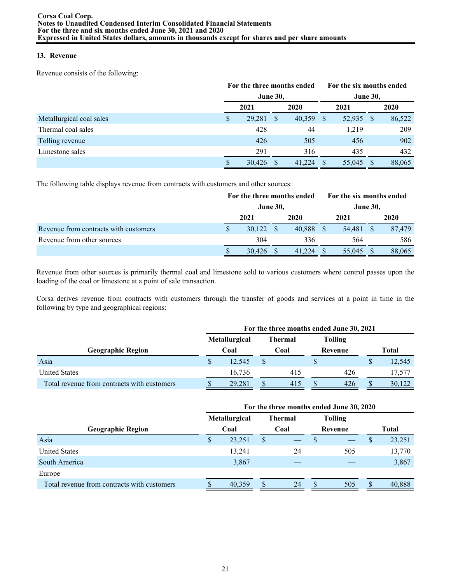# **13. Revenue**

Revenue consists of the following:

|                          |                 | For the three months ended |              |        |     | For the six months ended |                 |        |  |
|--------------------------|-----------------|----------------------------|--------------|--------|-----|--------------------------|-----------------|--------|--|
|                          | <b>June 30,</b> |                            |              |        |     |                          | <b>June 30,</b> |        |  |
|                          | 2021            |                            |              | 2020   |     | 2021                     |                 | 2020   |  |
| Metallurgical coal sales | S               | 29,281                     | <sup>S</sup> | 40,359 | - S | 52,935                   | -S              | 86,522 |  |
| Thermal coal sales       |                 | 428                        |              | 44     |     | 1,219                    |                 | 209    |  |
| Tolling revenue          |                 | 426                        |              | 505    |     | 456                      |                 | 902    |  |
| Limestone sales          |                 | 291                        |              | 316    |     | 435                      |                 | 432    |  |
|                          |                 | 30,426                     |              | 41.224 |     | 55,045                   |                 | 88,065 |  |

The following table displays revenue from contracts with customers and other sources:

|                                       | For the three months ended |        |  |           |  |                 |  | For the six months ended |  |  |
|---------------------------------------|----------------------------|--------|--|-----------|--|-----------------|--|--------------------------|--|--|
|                                       | <b>June 30,</b>            |        |  |           |  | <b>June 30,</b> |  |                          |  |  |
|                                       |                            | 2021   |  | 2020      |  | 2021            |  | 2020                     |  |  |
| Revenue from contracts with customers |                            | 30,122 |  | 40,888 \$ |  | 54,481          |  | 87.479                   |  |  |
| Revenue from other sources            |                            | 304    |  | 336       |  | 564             |  | 586                      |  |  |
|                                       |                            | 30,426 |  | 41.224    |  | 55,045          |  | 88,065                   |  |  |

Revenue from other sources is primarily thermal coal and limestone sold to various customers where control passes upon the loading of the coal or limestone at a point of sale transaction.

Corsa derives revenue from contracts with customers through the transfer of goods and services at a point in time in the following by type and geographical regions:

|                                             |    | For the three months ended June 30, 2021 |         |      |  |                |  |              |  |  |  |  |
|---------------------------------------------|----|------------------------------------------|---------|------|--|----------------|--|--------------|--|--|--|--|
|                                             |    | <b>Metallurgical</b>                     | Thermal |      |  | <b>Tolling</b> |  |              |  |  |  |  |
| Geographic Region                           |    | Coal                                     |         | Coal |  | Revenue        |  | <b>Total</b> |  |  |  |  |
| Asia                                        | \$ | 12.545                                   |         |      |  |                |  | 12,545       |  |  |  |  |
| <b>United States</b>                        |    | 16.736                                   |         | 415  |  | 426            |  | 17.577       |  |  |  |  |
| Total revenue from contracts with customers |    | 29,281                                   |         | 415  |  | 426            |  | 30,122       |  |  |  |  |

|                                             | For the three months ended June 30, 2020 |                      |      |                |                |     |   |        |  |  |  |  |  |  |
|---------------------------------------------|------------------------------------------|----------------------|------|----------------|----------------|-----|---|--------|--|--|--|--|--|--|
|                                             |                                          | <b>Metallurgical</b> |      | <b>Thermal</b> | <b>Tolling</b> |     |   |        |  |  |  |  |  |  |
| <b>Geographic Region</b>                    | Coal                                     |                      | Coal |                | Revenue        |     |   | Total  |  |  |  |  |  |  |
| Asia                                        | S                                        | 23,251               |      |                |                |     | P | 23,251 |  |  |  |  |  |  |
| <b>United States</b>                        |                                          | 13,241               |      | 24             |                | 505 |   | 13,770 |  |  |  |  |  |  |
| South America                               |                                          | 3,867                |      |                |                |     |   | 3,867  |  |  |  |  |  |  |
| Europe                                      |                                          |                      |      |                |                |     |   |        |  |  |  |  |  |  |
| Total revenue from contracts with customers |                                          | 40,359               |      | 24             |                | 505 |   | 40,888 |  |  |  |  |  |  |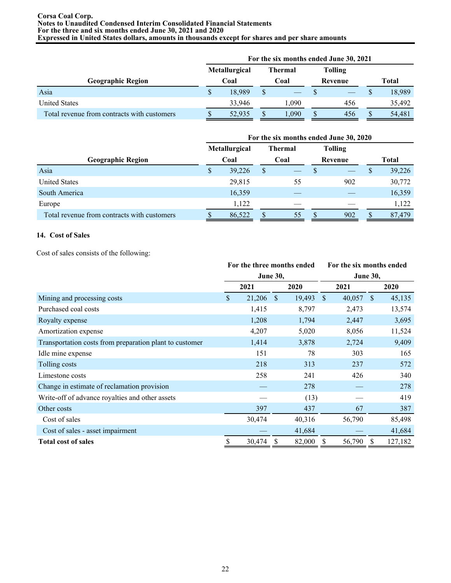#### **Corsa Coal Corp. Notes to Unaudited Condensed Interim Consolidated Financial Statements For the three and six months ended June 30, 2021 and 2020 Expressed in United States dollars, amounts in thousands except for shares and per share amounts**

|                                             | For the six months ended June 30, 2021 |                                        |  |       |   |                |       |        |  |  |  |
|---------------------------------------------|----------------------------------------|----------------------------------------|--|-------|---|----------------|-------|--------|--|--|--|
|                                             |                                        | <b>Metallurgical</b><br><b>Thermal</b> |  |       |   | <b>Tolling</b> |       |        |  |  |  |
| Geographic Region                           |                                        | Coal                                   |  | Coal  |   | Revenue        | Total |        |  |  |  |
| Asia                                        | \$                                     | 18.989                                 |  |       |   |                |       | 18,989 |  |  |  |
| <b>United States</b>                        |                                        | 33,946                                 |  | 1.090 |   | 456            |       | 35,492 |  |  |  |
| Total revenue from contracts with customers |                                        | 52.935                                 |  | 1.090 | S | 456            | S     | 54,481 |  |  |  |

|                                             | For the six months ended June 30, 2020 |        |      |         |         |                |   |        |  |  |  |  |  |  |
|---------------------------------------------|----------------------------------------|--------|------|---------|---------|----------------|---|--------|--|--|--|--|--|--|
|                                             | Metallurgical                          |        |      | Thermal |         | <b>Tolling</b> |   |        |  |  |  |  |  |  |
| <b>Geographic Region</b>                    | Coal                                   |        | Coal |         | Revenue |                |   | Total  |  |  |  |  |  |  |
| Asia                                        | S                                      | 39,226 | \$   |         | S       |                | S | 39,226 |  |  |  |  |  |  |
| <b>United States</b>                        |                                        | 29,815 |      | 55      |         | 902            |   | 30,772 |  |  |  |  |  |  |
| South America                               |                                        | 16,359 |      |         |         |                |   | 16,359 |  |  |  |  |  |  |
| Europe                                      |                                        | 1,122  |      |         |         |                |   | 1,122  |  |  |  |  |  |  |
| Total revenue from contracts with customers |                                        | 86,522 |      | 55      | D       | 902            | S | 87,479 |  |  |  |  |  |  |

# **14. Cost of Sales**

Cost of sales consists of the following:

|                                                         | For the three months ended<br><b>June 30,</b> |        |              |        |               | For the six months ended |              |         |  |  |  |
|---------------------------------------------------------|-----------------------------------------------|--------|--------------|--------|---------------|--------------------------|--------------|---------|--|--|--|
|                                                         |                                               |        |              |        |               | <b>June 30,</b>          |              |         |  |  |  |
|                                                         |                                               | 2021   |              | 2020   |               | 2021                     |              | 2020    |  |  |  |
| Mining and processing costs                             | \$                                            | 21,206 | <sup>S</sup> | 19,493 | <sup>\$</sup> | 40,057                   | <sup>S</sup> | 45,135  |  |  |  |
| Purchased coal costs                                    |                                               | 1,415  |              | 8,797  |               | 2,473                    |              | 13,574  |  |  |  |
| Royalty expense                                         |                                               | 1,208  |              | 1,794  |               | 2,447                    |              | 3,695   |  |  |  |
| Amortization expense                                    |                                               | 4,207  |              | 5,020  |               | 8,056                    |              | 11,524  |  |  |  |
| Transportation costs from preparation plant to customer |                                               | 1,414  |              | 3,878  |               | 2,724                    |              | 9,409   |  |  |  |
| Idle mine expense                                       |                                               | 151    |              | 78     |               | 303                      |              | 165     |  |  |  |
| Tolling costs                                           |                                               | 218    |              | 313    |               | 237                      |              | 572     |  |  |  |
| Limestone costs                                         |                                               | 258    |              | 241    |               | 426                      |              | 340     |  |  |  |
| Change in estimate of reclamation provision             |                                               |        |              | 278    |               |                          |              | 278     |  |  |  |
| Write-off of advance royalties and other assets         |                                               |        |              | (13)   |               |                          |              | 419     |  |  |  |
| Other costs                                             |                                               | 397    |              | 437    |               | 67                       |              | 387     |  |  |  |
| Cost of sales                                           |                                               | 30,474 |              | 40,316 |               | 56,790                   |              | 85,498  |  |  |  |
| Cost of sales - asset impairment                        |                                               |        |              | 41,684 |               |                          |              | 41,684  |  |  |  |
| <b>Total cost of sales</b>                              | \$                                            | 30,474 | \$           | 82,000 | S             | 56,790                   | S            | 127,182 |  |  |  |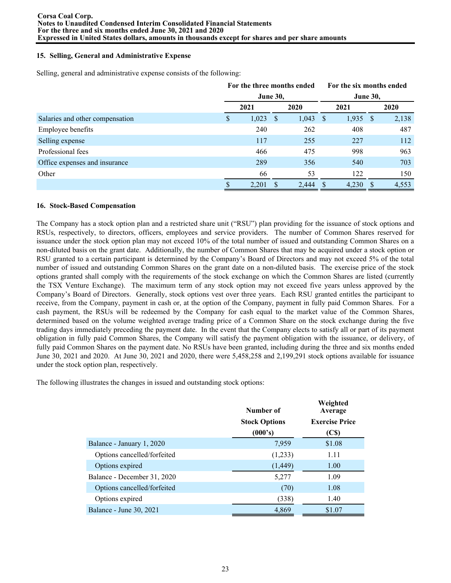## **15. Selling, General and Administrative Expense**

Selling, general and administrative expense consists of the following:

|                                 | For the three months ended |                 |              |            |  | For the six months ended |  |       |  |  |
|---------------------------------|----------------------------|-----------------|--------------|------------|--|--------------------------|--|-------|--|--|
|                                 |                            | <b>June 30,</b> |              |            |  | <b>June 30,</b>          |  |       |  |  |
|                                 |                            | 2021            |              | 2020       |  | 2021                     |  | 2020  |  |  |
| Salaries and other compensation | S                          | 1,023           | <sup>S</sup> | $1,043$ \$ |  | $1,935$ \$               |  | 2,138 |  |  |
| Employee benefits               |                            | 240             |              | 262        |  | 408                      |  | 487   |  |  |
| Selling expense                 |                            | 117             |              | 255        |  | 227                      |  | 112   |  |  |
| Professional fees               |                            | 466             |              | 475        |  | 998                      |  | 963   |  |  |
| Office expenses and insurance   |                            | 289             |              | 356        |  | 540                      |  | 703   |  |  |
| Other                           |                            | 66              |              | 53         |  | 122                      |  | 150   |  |  |
|                                 |                            | 2,201           |              | 2,444      |  | 4,230                    |  | 4,553 |  |  |

#### **16. Stock-Based Compensation**

The Company has a stock option plan and a restricted share unit ("RSU") plan providing for the issuance of stock options and RSUs, respectively, to directors, officers, employees and service providers. The number of Common Shares reserved for issuance under the stock option plan may not exceed 10% of the total number of issued and outstanding Common Shares on a non-diluted basis on the grant date. Additionally, the number of Common Shares that may be acquired under a stock option or RSU granted to a certain participant is determined by the Company's Board of Directors and may not exceed 5% of the total number of issued and outstanding Common Shares on the grant date on a non-diluted basis. The exercise price of the stock options granted shall comply with the requirements of the stock exchange on which the Common Shares are listed (currently the TSX Venture Exchange). The maximum term of any stock option may not exceed five years unless approved by the Company's Board of Directors. Generally, stock options vest over three years. Each RSU granted entitles the participant to receive, from the Company, payment in cash or, at the option of the Company, payment in fully paid Common Shares. For a cash payment, the RSUs will be redeemed by the Company for cash equal to the market value of the Common Shares, determined based on the volume weighted average trading price of a Common Share on the stock exchange during the five trading days immediately preceding the payment date. In the event that the Company elects to satisfy all or part of its payment obligation in fully paid Common Shares, the Company will satisfy the payment obligation with the issuance, or delivery, of fully paid Common Shares on the payment date. No RSUs have been granted, including during the three and six months ended June 30, 2021 and 2020. At June 30, 2021 and 2020, there were 5,458,258 and 2,199,291 stock options available for issuance under the stock option plan, respectively.

The following illustrates the changes in issued and outstanding stock options:

|                             | Number of            | Weighted<br>Average   |
|-----------------------------|----------------------|-----------------------|
|                             | <b>Stock Options</b> | <b>Exercise Price</b> |
|                             | (000's)              | (C\$)                 |
| Balance - January 1, 2020   | 7,959                | \$1.08                |
| Options cancelled/forfeited | (1,233)              | 1.11                  |
| Options expired             | (1, 449)             | 1.00                  |
| Balance - December 31, 2020 | 5,277                | 1.09                  |
| Options cancelled/forfeited | (70)                 | 1.08                  |
| Options expired             | (338)                | 1.40                  |
| Balance - June 30, 2021     | 4,869                | \$1.07                |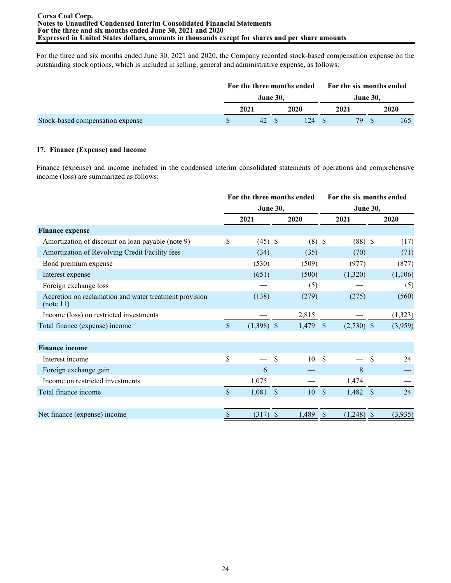For the three and six months ended June 30, 2021 and 2020, the Company recorded stock-based compensation expense on the outstanding stock options, which is included in selling, general and administrative expense, as follows:

|                                  | For the three months ended |                 |      |      |     |                 | For the six months ended |
|----------------------------------|----------------------------|-----------------|------|------|-----|-----------------|--------------------------|
|                                  |                            | <b>June 30.</b> |      |      |     | <b>June 30.</b> |                          |
|                                  | 2021                       |                 | 2020 | 2021 |     |                 | 2020                     |
| Stock-based compensation expense | 42 S                       |                 | 124  |      | 79. |                 | 165                      |

# **17. Finance (Expense) and Income**

Finance (expense) and income included in the condensed interim consolidated statements of operations and comprehensive income (loss) are summarized as follows:

|                                                                     | For the three months ended |              |               |          |                      | For the six months ended |     |         |  |  |  |
|---------------------------------------------------------------------|----------------------------|--------------|---------------|----------|----------------------|--------------------------|-----|---------|--|--|--|
|                                                                     | <b>June 30,</b>            |              |               |          | <b>June 30,</b>      |                          |     |         |  |  |  |
|                                                                     |                            | 2021         |               | 2020     |                      | 2021                     |     | 2020    |  |  |  |
| <b>Finance expense</b>                                              |                            |              |               |          |                      |                          |     |         |  |  |  |
| Amortization of discount on loan payable (note 9)                   | \$                         | $(45)$ \$    |               | $(8)$ \$ |                      | $(88)$ \$                |     | (17)    |  |  |  |
| Amortization of Revolving Credit Facility fees                      |                            | (34)         |               | (35)     |                      | (70)                     |     | (71)    |  |  |  |
| Bond premium expense                                                |                            | (530)        |               | (509)    |                      | (977)                    |     | (877)   |  |  |  |
| Interest expense                                                    |                            | (651)        |               | (500)    |                      | (1,320)                  |     | (1,106) |  |  |  |
| Foreign exchange loss                                               |                            |              |               | (5)      |                      |                          |     | (5)     |  |  |  |
| Accretion on reclamation and water treatment provision<br>(note 11) |                            | (138)        |               | (279)    |                      | (275)                    |     | (560)   |  |  |  |
| Income (loss) on restricted investments                             |                            |              |               | 2,815    |                      |                          |     | (1,323) |  |  |  |
| Total finance (expense) income                                      | $\mathsf{\$}$              | $(1,398)$ \$ |               | 1,479    | $\sqrt{\frac{2}{5}}$ | $(2,730)$ \$             |     | (3,959) |  |  |  |
| <b>Finance income</b>                                               |                            |              |               |          |                      |                          |     |         |  |  |  |
| Interest income                                                     | \$                         |              | \$            | 10       | <sup>\$</sup>        |                          | \$  | 24      |  |  |  |
| Foreign exchange gain                                               |                            | 6            |               |          |                      | 8                        |     |         |  |  |  |
| Income on restricted investments                                    |                            | 1,075        |               |          |                      | 1,474                    |     |         |  |  |  |
| Total finance income                                                | $\mathsf{\$}$              | 1,081        | <sup>\$</sup> | 10       | $\mathbb{S}$         | $1,482$ \$               |     | 24      |  |  |  |
| Net finance (expense) income                                        | \$                         | (317)        | <sup>S</sup>  | 1,489    | \$                   | (1,248)                  | -\$ | (3,935) |  |  |  |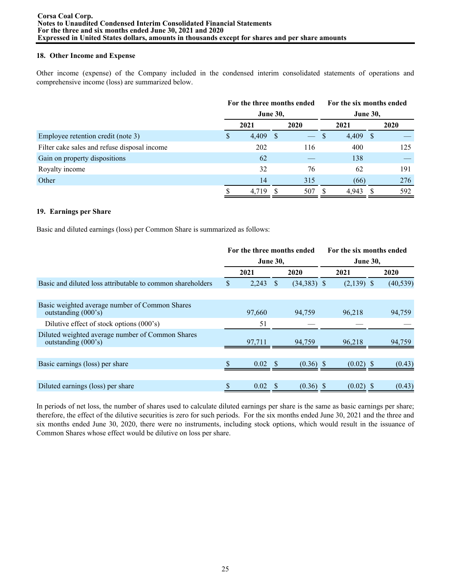## **18. Other Income and Expense**

Other income (expense) of the Company included in the condensed interim consolidated statements of operations and comprehensive income (loss) are summarized below.

|                                              |              | For the three months ended |    |               |                 |       | For the six months ended |             |  |  |  |
|----------------------------------------------|--------------|----------------------------|----|---------------|-----------------|-------|--------------------------|-------------|--|--|--|
|                                              |              | <b>June 30,</b>            |    |               | <b>June 30,</b> |       |                          |             |  |  |  |
|                                              |              | 2021                       |    | 2020          |                 | 2021  |                          | <b>2020</b> |  |  |  |
| Employee retention credit (note 3)           | <sup>S</sup> | 4,409                      | -S | $\frac{1}{2}$ | -S              | 4,409 | -S                       |             |  |  |  |
| Filter cake sales and refuse disposal income |              | 202                        |    | 116           |                 | 400   |                          | 125         |  |  |  |
| Gain on property dispositions                |              | 62                         |    |               |                 | 138   |                          |             |  |  |  |
| Royalty income                               |              | 32                         |    | 76            |                 | 62    |                          | 191         |  |  |  |
| Other                                        |              | 14                         |    | 315           |                 | (66)  |                          | 276         |  |  |  |
|                                              |              | 4.719                      |    | 507           |                 | 4.943 |                          | 592         |  |  |  |

## **19. Earnings per Share**

Basic and diluted earnings (loss) per Common Share is summarized as follows:

|                                                                                   | For the three months ended |                 |    |               |                 | For the six months ended |  |           |  |  |  |
|-----------------------------------------------------------------------------------|----------------------------|-----------------|----|---------------|-----------------|--------------------------|--|-----------|--|--|--|
|                                                                                   |                            | <b>June 30,</b> |    |               | <b>June 30,</b> |                          |  |           |  |  |  |
|                                                                                   |                            | 2021            |    | 2020          |                 | 2021                     |  | 2020      |  |  |  |
| Basic and diluted loss attributable to common shareholders                        |                            | 2,243           |    | $(34,383)$ \$ |                 | $(2,139)$ \$             |  | (40, 539) |  |  |  |
|                                                                                   |                            |                 |    |               |                 |                          |  |           |  |  |  |
| Basic weighted average number of Common Shares<br>outstanding $(000's)$           |                            | 97,660          |    | 94,759        |                 | 96,218                   |  | 94,759    |  |  |  |
| Dilutive effect of stock options (000's)                                          |                            | 51              |    |               |                 |                          |  |           |  |  |  |
| Diluted weighted average number of Common Shares<br>outstanding $(000 \text{°s})$ |                            | 97,711          |    | 94.759        |                 | 96,218                   |  | 94,759    |  |  |  |
|                                                                                   |                            |                 |    |               |                 |                          |  |           |  |  |  |
| Basic earnings (loss) per share                                                   |                            | 0.02            |    | $(0.36)$ \$   |                 | $(0.02)$ \$              |  | (0.43)    |  |  |  |
|                                                                                   |                            |                 |    |               |                 |                          |  |           |  |  |  |
| Diluted earnings (loss) per share                                                 |                            | 0.02            | -S | $(0.36)$ \$   |                 | (0.02)                   |  | (0.43)    |  |  |  |

In periods of net loss, the number of shares used to calculate diluted earnings per share is the same as basic earnings per share; therefore, the effect of the dilutive securities is zero for such periods. For the six months ended June 30, 2021 and the three and six months ended June 30, 2020, there were no instruments, including stock options, which would result in the issuance of Common Shares whose effect would be dilutive on loss per share.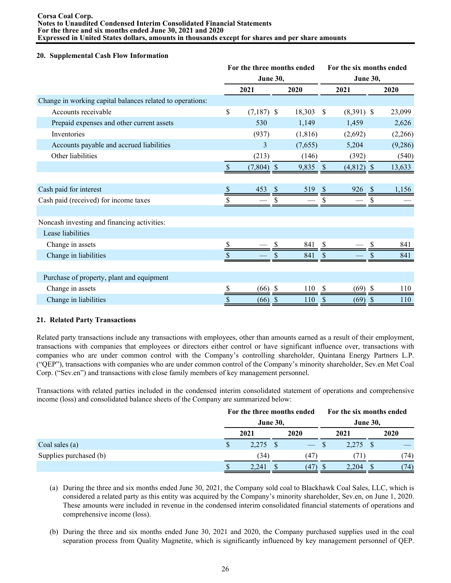## **20. Supplemental Cash Flow Information**

|                                                           | For the three months ended<br><b>June 30,</b> |              |              |          |               | For the six months ended |     |         |  |  |  |
|-----------------------------------------------------------|-----------------------------------------------|--------------|--------------|----------|---------------|--------------------------|-----|---------|--|--|--|
|                                                           |                                               |              |              |          |               | <b>June 30,</b>          |     |         |  |  |  |
|                                                           |                                               | 2021         |              | 2020     |               | 2021                     |     | 2020    |  |  |  |
| Change in working capital balances related to operations: |                                               |              |              |          |               |                          |     |         |  |  |  |
| Accounts receivable                                       | \$                                            | $(7,187)$ \$ |              | 18,303   | -S            | $(8,391)$ \$             |     | 23,099  |  |  |  |
| Prepaid expenses and other current assets                 |                                               | 530          |              | 1,149    |               | 1,459                    |     | 2,626   |  |  |  |
| Inventories                                               |                                               | (937)        |              | (1, 816) |               | (2,692)                  |     | (2,266) |  |  |  |
| Accounts payable and accrued liabilities                  |                                               | 3            |              | (7,655)  |               | 5,204                    |     | (9,286) |  |  |  |
| Other liabilities                                         |                                               | (213)        |              | (146)    |               | (392)                    |     | (540)   |  |  |  |
|                                                           | $\mathbb{S}$                                  | $(7,804)$ \$ |              | 9,835    | - \$          | $(4,812)$ \$             |     | 13,633  |  |  |  |
|                                                           |                                               |              |              |          |               |                          |     |         |  |  |  |
| Cash paid for interest                                    |                                               | 453          |              | 519      |               | 926                      | -\$ | 1,156   |  |  |  |
| Cash paid (received) for income taxes                     |                                               |              |              |          |               |                          |     |         |  |  |  |
|                                                           |                                               |              |              |          |               |                          |     |         |  |  |  |
| Noncash investing and financing activities:               |                                               |              |              |          |               |                          |     |         |  |  |  |
| Lease liabilities                                         |                                               |              |              |          |               |                          |     |         |  |  |  |
| Change in assets                                          | \$                                            |              | S            | 841      | <sup>\$</sup> |                          | S   | 841     |  |  |  |
| Change in liabilities                                     | \$                                            |              |              | 841      | S             |                          |     | 841     |  |  |  |
|                                                           |                                               |              |              |          |               |                          |     |         |  |  |  |
| Purchase of property, plant and equipment                 |                                               |              |              |          |               |                          |     |         |  |  |  |
| Change in assets                                          | \$                                            | $(66)$ \$    |              | 110      | <sup>\$</sup> | $(69)$ \$                |     | 110     |  |  |  |
| Change in liabilities                                     | \$                                            | (66)         | <sup>S</sup> | 110      | S             | (69)                     | S   | 110     |  |  |  |

# **21. Related Party Transactions**

Related party transactions include any transactions with employees, other than amounts earned as a result of their employment, transactions with companies that employees or directors either control or have significant influence over, transactions with companies who are under common control with the Company's controlling shareholder, Quintana Energy Partners L.P. ("QEP"), transactions with companies who are under common control of the Company's minority shareholder, Sev.en Met Coal Corp. ("Sev.en") and transactions with close family members of key management personnel.

Transactions with related parties included in the condensed interim consolidated statement of operations and comprehensive income (loss) and consolidated balance sheets of the Company are summarized below:

|                        | <b>June 30,</b> | For the three months ended |  | For the six months ended<br>June 30, |  |      |
|------------------------|-----------------|----------------------------|--|--------------------------------------|--|------|
|                        | 2021            | 2020                       |  | 2021                                 |  | 2020 |
| Coal sales $(a)$       | $2,275$ \$      |                            |  | $2,275$ \$                           |  |      |
| Supplies purchased (b) | (34)            | (47)                       |  | 71)                                  |  | (74) |
|                        | 2.241           | (47)                       |  | 2.204                                |  | (74) |

- (a) During the three and six months ended June 30, 2021, the Company sold coal to Blackhawk Coal Sales, LLC, which is considered a related party as this entity was acquired by the Company's minority shareholder, Sev.en, on June 1, 2020. These amounts were included in revenue in the condensed interim consolidated financial statements of operations and comprehensive income (loss).
- (b) During the three and six months ended June 30, 2021 and 2020, the Company purchased supplies used in the coal separation process from Quality Magnetite, which is significantly influenced by key management personnel of QEP.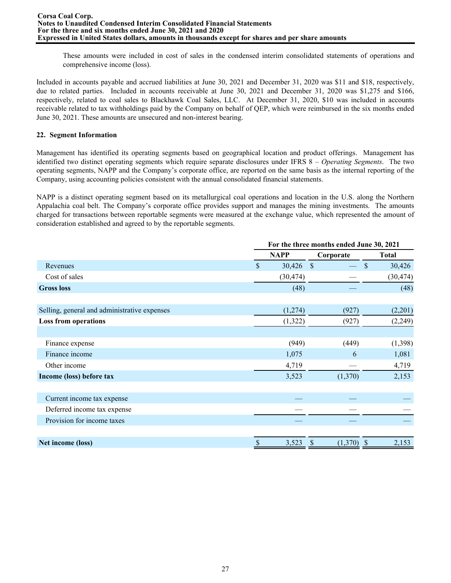These amounts were included in cost of sales in the condensed interim consolidated statements of operations and comprehensive income (loss).

Included in accounts payable and accrued liabilities at June 30, 2021 and December 31, 2020 was \$11 and \$18, respectively, due to related parties. Included in accounts receivable at June 30, 2021 and December 31, 2020 was \$1,275 and \$166, respectively, related to coal sales to Blackhawk Coal Sales, LLC. At December 31, 2020, \$10 was included in accounts receivable related to tax withholdings paid by the Company on behalf of QEP, which were reimbursed in the six months ended June 30, 2021. These amounts are unsecured and non-interest bearing.

# **22. Segment Information**

Management has identified its operating segments based on geographical location and product offerings. Management has identified two distinct operating segments which require separate disclosures under IFRS 8 – *Operating Segments*. The two operating segments, NAPP and the Company's corporate office, are reported on the same basis as the internal reporting of the Company, using accounting policies consistent with the annual consolidated financial statements.

NAPP is a distinct operating segment based on its metallurgical coal operations and location in the U.S. along the Northern Appalachia coal belt. The Company's corporate office provides support and manages the mining investments. The amounts charged for transactions between reportable segments were measured at the exchange value, which represented the amount of consideration established and agreed to by the reportable segments.

|                                              | For the three months ended June 30, 2021 |             |               |                        |  |  |  |
|----------------------------------------------|------------------------------------------|-------------|---------------|------------------------|--|--|--|
|                                              |                                          | <b>NAPP</b> | Corporate     | <b>Total</b>           |  |  |  |
| Revenues                                     | \$                                       | 30,426      | $\mathcal{S}$ | \$<br>30,426           |  |  |  |
| Cost of sales                                |                                          | (30, 474)   |               | (30, 474)              |  |  |  |
| <b>Gross loss</b>                            |                                          | (48)        |               | (48)                   |  |  |  |
| Selling, general and administrative expenses |                                          | (1,274)     | (927)         | (2,201)                |  |  |  |
| <b>Loss from operations</b>                  |                                          | (1,322)     | (927)         | (2,249)                |  |  |  |
| Finance expense                              |                                          | (949)       | (449)         | (1,398)                |  |  |  |
| Finance income                               |                                          | 1,075       | 6             | 1,081                  |  |  |  |
| Other income                                 |                                          | 4,719       |               | 4,719                  |  |  |  |
| Income (loss) before tax                     |                                          | 3,523       | (1,370)       | 2,153                  |  |  |  |
| Current income tax expense                   |                                          |             |               |                        |  |  |  |
| Deferred income tax expense                  |                                          |             |               |                        |  |  |  |
| Provision for income taxes                   |                                          |             |               |                        |  |  |  |
| Net income (loss)                            | \$                                       | 3,523       | (1,370)<br>\$ | 2,153<br>$\mathcal{S}$ |  |  |  |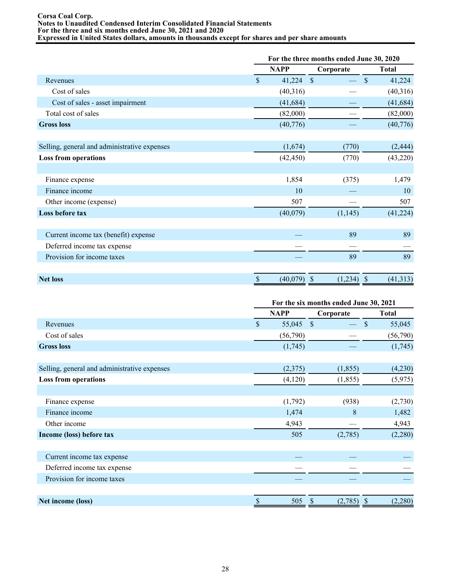#### **Corsa Coal Corp. Notes to Unaudited Condensed Interim Consolidated Financial Statements For the three and six months ended June 30, 2021 and 2020 Expressed in United States dollars, amounts in thousands except for shares and per share amounts**

|                                              |      | For the three months ended June 30, 2020 |                    |              |  |  |  |  |
|----------------------------------------------|------|------------------------------------------|--------------------|--------------|--|--|--|--|
|                                              |      | <b>NAPP</b>                              | Corporate          | <b>Total</b> |  |  |  |  |
| Revenues                                     |      | 41,224                                   | $\mathcal{S}$      | \$<br>41,224 |  |  |  |  |
| Cost of sales                                |      | (40,316)                                 |                    | (40,316)     |  |  |  |  |
| Cost of sales - asset impairment             |      | (41, 684)                                |                    | (41, 684)    |  |  |  |  |
| Total cost of sales                          |      | (82,000)                                 |                    | (82,000)     |  |  |  |  |
| <b>Gross loss</b>                            |      | (40,776)                                 |                    | (40, 776)    |  |  |  |  |
| Selling, general and administrative expenses |      | (1,674)                                  | (770)              | (2, 444)     |  |  |  |  |
| <b>Loss from operations</b>                  |      | (42, 450)                                | (770)              | (43,220)     |  |  |  |  |
| Finance expense                              |      | 1,854                                    | (375)              | 1,479        |  |  |  |  |
| Finance income                               |      | 10                                       |                    | 10           |  |  |  |  |
| Other income (expense)                       |      | 507                                      |                    | 507          |  |  |  |  |
| Loss before tax                              |      | (40,079)                                 | (1,145)            | (41, 224)    |  |  |  |  |
|                                              |      |                                          |                    |              |  |  |  |  |
| Current income tax (benefit) expense         |      |                                          | 89                 | 89           |  |  |  |  |
| Deferred income tax expense                  |      |                                          |                    |              |  |  |  |  |
| Provision for income taxes                   |      |                                          | 89                 | 89           |  |  |  |  |
| <b>Net loss</b>                              | $\$$ | (40,079)                                 | $(1,234)$ \$<br>\$ | (41, 313)    |  |  |  |  |

|                                              | For the six months ended June 30, 2021 |             |                    |    |              |  |  |  |
|----------------------------------------------|----------------------------------------|-------------|--------------------|----|--------------|--|--|--|
|                                              |                                        | <b>NAPP</b> | Corporate          |    | <b>Total</b> |  |  |  |
| Revenues                                     | $\mathsf{\$}$                          | 55,045 \$   |                    | \$ | 55,045       |  |  |  |
| Cost of sales                                |                                        | (56,790)    |                    |    | (56,790)     |  |  |  |
| <b>Gross loss</b>                            |                                        | (1,745)     |                    |    | (1,745)      |  |  |  |
|                                              |                                        |             |                    |    |              |  |  |  |
| Selling, general and administrative expenses |                                        | (2,375)     | (1, 855)           |    | (4,230)      |  |  |  |
| <b>Loss from operations</b>                  |                                        | (4,120)     | (1, 855)           |    | (5,975)      |  |  |  |
|                                              |                                        |             |                    |    |              |  |  |  |
| Finance expense                              |                                        | (1,792)     | (938)              |    | (2,730)      |  |  |  |
| Finance income                               |                                        | 1,474       | 8                  |    | 1,482        |  |  |  |
| Other income                                 |                                        | 4,943       |                    |    | 4,943        |  |  |  |
| Income (loss) before tax                     |                                        | 505         | (2,785)            |    | (2,280)      |  |  |  |
|                                              |                                        |             |                    |    |              |  |  |  |
| Current income tax expense                   |                                        |             |                    |    |              |  |  |  |
| Deferred income tax expense                  |                                        |             |                    |    |              |  |  |  |
| Provision for income taxes                   |                                        |             |                    |    |              |  |  |  |
|                                              |                                        |             |                    |    |              |  |  |  |
| Net income (loss)                            | $\$$                                   | 505         | \$<br>$(2,785)$ \$ |    | (2,280)      |  |  |  |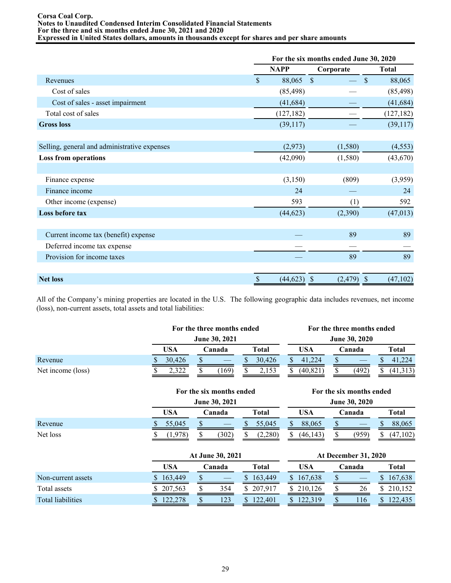#### **Corsa Coal Corp. Notes to Unaudited Condensed Interim Consolidated Financial Statements For the three and six months ended June 30, 2021 and 2020 Expressed in United States dollars, amounts in thousands except for shares and per share amounts**

|                                              | For the six months ended June 30, 2020 |             |                |                         |  |  |  |  |
|----------------------------------------------|----------------------------------------|-------------|----------------|-------------------------|--|--|--|--|
|                                              |                                        | <b>NAPP</b> | Corporate      | <b>Total</b>            |  |  |  |  |
| Revenues                                     | $\mathsf{\$}$                          | 88,065      | $\mathcal{S}$  | $\mathcal{S}$<br>88,065 |  |  |  |  |
| Cost of sales                                |                                        | (85, 498)   |                | (85, 498)               |  |  |  |  |
| Cost of sales - asset impairment             |                                        | (41, 684)   |                | (41, 684)               |  |  |  |  |
| Total cost of sales                          |                                        | (127, 182)  |                | (127, 182)              |  |  |  |  |
| <b>Gross loss</b>                            |                                        | (39,117)    |                | (39,117)                |  |  |  |  |
|                                              |                                        |             |                |                         |  |  |  |  |
| Selling, general and administrative expenses |                                        | (2,973)     | (1,580)        | (4, 553)                |  |  |  |  |
| <b>Loss from operations</b>                  |                                        | (42,090)    | (1,580)        | (43, 670)               |  |  |  |  |
|                                              |                                        |             |                |                         |  |  |  |  |
| Finance expense                              |                                        | (3,150)     | (809)          | (3,959)                 |  |  |  |  |
| Finance income                               |                                        | 24          |                | 24                      |  |  |  |  |
| Other income (expense)                       |                                        | 593         | (1)            | 592                     |  |  |  |  |
| Loss before tax                              |                                        | (44, 623)   | (2,390)        | (47, 013)               |  |  |  |  |
|                                              |                                        |             |                |                         |  |  |  |  |
| Current income tax (benefit) expense         |                                        |             | 89             | 89                      |  |  |  |  |
| Deferred income tax expense                  |                                        |             |                |                         |  |  |  |  |
| Provision for income taxes                   |                                        |             | 89             | 89                      |  |  |  |  |
|                                              |                                        |             |                |                         |  |  |  |  |
| <b>Net loss</b>                              | $\mathcal{S}$                          | (44, 623)   | (2, 479)<br>-S | (47, 102)<br>-S         |  |  |  |  |

All of the Company's mining properties are located in the U.S. The following geographic data includes revenues, net income (loss), non-current assets, total assets and total liabilities:

|                   | For the three months ended |        |  |                 |  | For the three months ended |  |          |                      |       |  |          |
|-------------------|----------------------------|--------|--|-----------------|--|----------------------------|--|----------|----------------------|-------|--|----------|
|                   | <b>June 30, 2021</b>       |        |  |                 |  |                            |  |          | <b>June 30, 2020</b> |       |  |          |
|                   |                            | USA    |  | Total<br>Canada |  | USA                        |  | Canada   |                      | Total |  |          |
| Revenue           |                            | 30.426 |  |                 |  | 30.426                     |  | 41.224   |                      |       |  | 41.      |
| Net income (loss) |                            | 2.322  |  | 169             |  | 2,153                      |  | (40.821) |                      | (492) |  | (41,313) |

|          |        | For the six months ended |               | For the six months ended |                      |                                   |  |  |  |  |
|----------|--------|--------------------------|---------------|--------------------------|----------------------|-----------------------------------|--|--|--|--|
|          |        | <b>June 30, 2021</b>     |               |                          | <b>June 30, 2020</b> |                                   |  |  |  |  |
|          | USA    | Canada                   | Total         | USA                      | Canada               | Total                             |  |  |  |  |
| Revenue  | 55,045 |                          | 55,045        | 88,065                   |                      | 88,065<br>D                       |  |  |  |  |
| Net loss | 978)   | (302)                    | (2,280)<br>۰D | (46, 143)                | (959)                | $\langle 47$<br>.102 <sup>1</sup> |  |  |  |  |

|                          |         | At June 30, 2021 | <b>At December 31, 2020</b> |              |         |        |     |  |                |
|--------------------------|---------|------------------|-----------------------------|--------------|---------|--------|-----|--|----------------|
|                          | USA     |                  | Canada                      | Total        | USA     | Canada |     |  | <b>Total</b>   |
| Non-current assets       | 163,449 |                  |                             | 163,449      | 167.638 |        |     |  | 167,638        |
| Total assets             | 207,563 |                  | 354                         | 207.917<br>S | 210.126 |        | 26  |  | 210,152        |
| <b>Total liabilities</b> | 122.278 |                  |                             | 22.401       | 319     |        | 116 |  | $\angle 2,435$ |